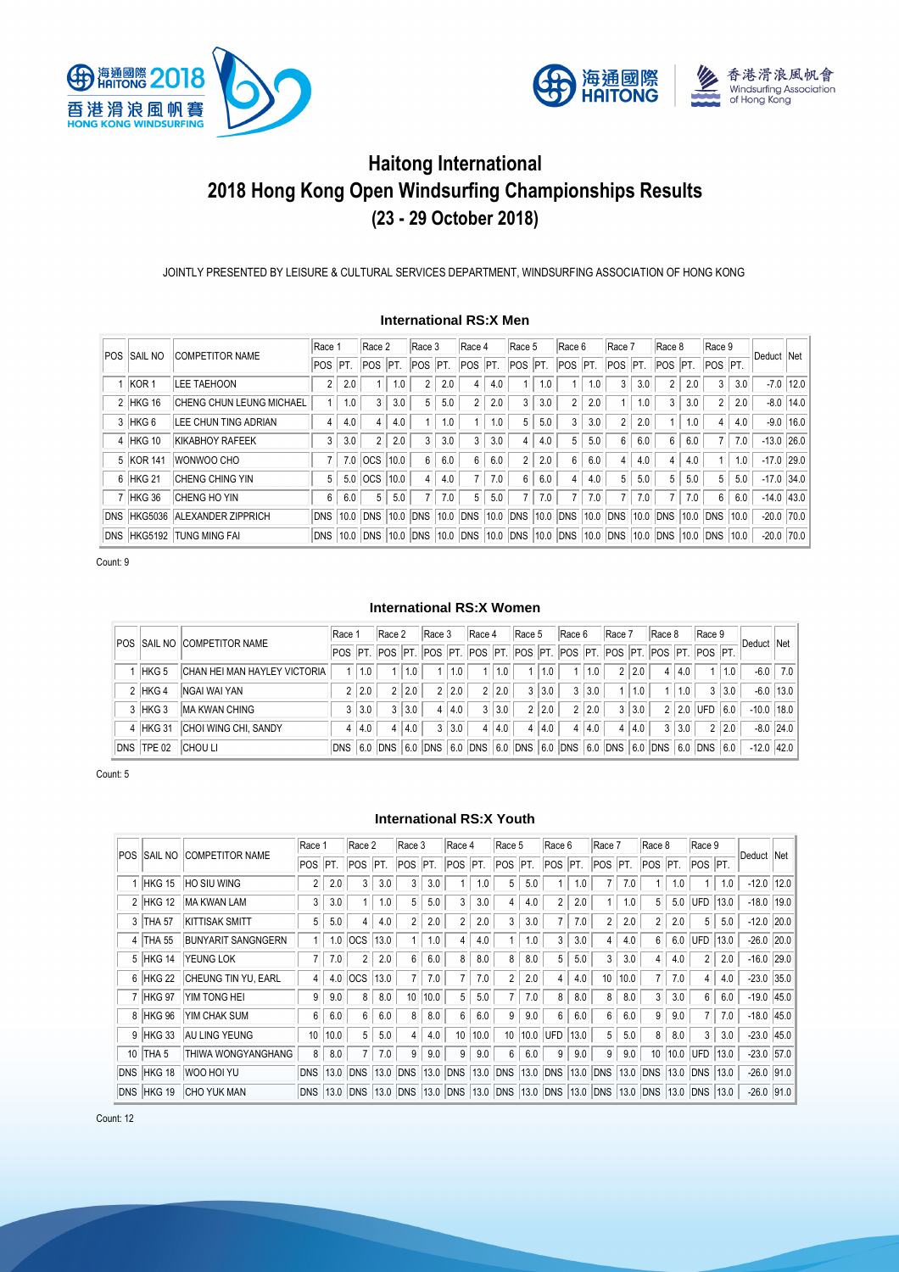



# **Haitong International 2018 Hong Kong Open Windsurfing Championships Results (23 - 29 October 2018)**

JOINTLY PRESENTED BY LEISURE & CULTURAL SERVICES DEPARTMENT, WINDSURFING ASSOCIATION OF HONG KONG

# **International RS:X Men**

| <b>POS</b> | <b>SAIL NO</b>    | <b>COMPETITOR NAME</b>          | Race           |      | Race 2         |      | Race 3           |      | Race 4     |     | Race 5         |      | Race 6         |     | Race 7         |      | Race 8         |     | Race 9         |     | Deduct Net   |               |
|------------|-------------------|---------------------------------|----------------|------|----------------|------|------------------|------|------------|-----|----------------|------|----------------|-----|----------------|------|----------------|-----|----------------|-----|--------------|---------------|
|            |                   |                                 | <b>POS</b>     | PT.  | POS            | IPT. | <b>POS</b>       | PT.  | <b>POS</b> | PT. | POS            | PT.  | $POS$ $PT.$    |     | POS PT.        |      | POS PT.        |     | POS PT.        |     |              |               |
|            | KOR <sub>1</sub>  | <b>LEE TAEHOON</b>              | $\overline{2}$ | 2.0  |                | 1.0  | 2                | 2.0  | 4          | 4.0 |                |      |                | .0  | 3              | 3.0  | $\overline{2}$ | 2.0 | 3              | 3.0 |              | $-7.0$   12.0 |
|            | 2 HKG 16          | <b>CHENG CHUN LEUNG MICHAEL</b> |                | 1.0  | 3              | 3.0  | 5                | 5.0  | 2          | 2.0 | 3              | 3.0  | $\overline{2}$ | 2.0 |                | 1.0  | 3              | 3.0 | $\overline{2}$ | 2.0 |              | $-8.0$   14.0 |
|            | 3 HKG 6           | LEE CHUN TING ADRIAN            | 4              | 4.0  | $\overline{4}$ | 4.0  |                  | 1.0  |            | 1.0 | 5              | 5.0  | 3              | 3.0 | $\overline{2}$ | 2.0  |                | 1.0 | $\overline{4}$ | 4.0 |              | $-9.0$ 16.0   |
| 4          | HKG 10            | <b>KIKABHOY RAFEEK</b>          | 3              | 3.0  | $\overline{2}$ | 2.0  | 3                | 3.0  | 3          | 3.0 | 4              | 4.0  | 5              | 5.0 | 6              | 6.0  | 6              | 6.0 |                | 7.0 | $-13.0$ 26.0 |               |
|            | 5 KOR 141         | WONWOO CHO                      |                | 7.0  | OCS            | 10.0 | $6 \overline{6}$ | 6.0  | 6          | 6.0 | $\overline{2}$ | 2.0  | 6              | 6.0 | 4              | 4.0  | 4              | 4.0 |                | 1.0 | $-17.0$ 29.0 |               |
| 6          | HKG <sub>21</sub> | <b>CHENG CHING YIN</b>          | 5              | 5.0  | <b>OCS</b>     | 10.0 | 4                | 4.0  |            | 7.0 | 6              | 6.0  | 4              | 4.0 | 5              | 5.0  | 5              | 5.0 | 5              | 5.0 | $-17.0$ 34.0 |               |
|            | 7 HKG 36          | <b>CHENG HO YIN</b>             | 6              | 6.0  | 5              | 5.0  |                  | 7.0  | 5          | 5.0 |                | 7.0  |                | 7.0 |                | 7.0  | $\overline{7}$ | 7.0 | 6              | 6.0 | $-14.0$ 43.0 |               |
| <b>DNS</b> |                   | HKG5036 ALEXANDER ZIPPRICH      | <b>DNS</b>     | 10.0 | <b>DNS</b>     |      | 10.0 DNS         | 10.0 | <b>DNS</b> |     | $10.0$ DNS     | 10.0 | DNS            |     | 10.0 DNS       | 10.0 | <b>DNS</b>     |     | 10.0 DNS 10.0  |     | $-20.0$ 70.0 |               |
| <b>DNS</b> |                   | HKG5192 TUNG MING FAI           | <b>DNS</b>     | 10.0 | <b>DNS</b>     |      | 10.0 DNS         | 10.0 | DNS        |     | $10.0$ DNS     | 10.0 | DNS            |     | 10.0 DNS       |      | 10.0 DNS       |     | 10.0 DNS 10.0  |     | $-20.0$ 70.0 |               |

Count: 9

#### **International RS:X Women**

|            |                  | POS ISAIL NO ICOMPETITOR NAME       | Race                                                                                                      |       | Race 2    |     | Race 3  |     | Race 4  |     | Race 5    |     | Race 6 |     | Race 7              |     | Race 8     |     | Race 9     |     | Deduct        | Net           |
|------------|------------------|-------------------------------------|-----------------------------------------------------------------------------------------------------------|-------|-----------|-----|---------|-----|---------|-----|-----------|-----|--------|-----|---------------------|-----|------------|-----|------------|-----|---------------|---------------|
|            |                  |                                     | POS   PT.   POS   PT.   POS   PT.   POS   PT.   POS   PT.   POS   PT.   POS   PT.   POS   PT.   POS   PT. |       |           |     |         |     |         |     |           |     |        |     |                     |     |            |     |            |     |               |               |
|            | HKG <sub>5</sub> | <b>CHAN HEI MAN HAYLEY VICTORIA</b> |                                                                                                           | 1.0   |           |     |         | 1.0 |         | 1.0 |           | 0.١ |        | 1.0 |                     | 2.0 | 4          | 4.0 |            | 1.0 | $-6.0$        | 7.0           |
|            | $2$ HKG 4        | <b>NGAI WAI YAN</b>                 |                                                                                                           | 2 2.0 |           | 2.0 |         | 2.0 |         | 2.0 | 3         | 3.0 | 3      | 3.0 |                     | 1.0 |            | 1.0 | 3          | 3.0 |               | $-6.0$   13.0 |
|            | 3 HKG 3          | <b>MA KWAN CHING</b>                |                                                                                                           | 3.0   | 3         | 3.0 | 4       | 4.0 | 3       | 3.0 |           | 2.0 | 2      | 2.0 | 3                   | 3.0 | 2          | 2.0 | UFD        | 6.0 | $-10.0$  18.0 |               |
|            | 4 HKG 31         | <b>CHOI WING CHI, SANDY</b>         |                                                                                                           | 4.0   | 4         | 4.0 |         | 3.0 |         | 4.0 | 4         | 4.0 | 4      | 4.0 | 4                   | 4.0 | 3          | 3.0 | 2          | 2.0 |               | $-8.0$ 24.0   |
| <b>DNS</b> | <b>TPE 02</b>    | <b>CHOU LI</b>                      | <b>DNS</b>                                                                                                |       | $6.0$ DNS |     | 6.0 DNS |     | 6.0 DNS |     | $6.0$ DNS |     |        |     | 6.0 DNS 6.0 DNS 6.0 |     | <b>DNS</b> | 6.0 | <b>DNS</b> | 6.0 | $-12.0$ 42.0  |               |

Count: 5

# **International RS:X Youth**

|                 |                   |                           | Race 1          |      | Race 2                                                                                    |      | Race 3         |      | Race 4          |      | Race 5          |      | Race 6           |      | Race 7         |      | Race 8           |      | Race 9          |      |              |  |
|-----------------|-------------------|---------------------------|-----------------|------|-------------------------------------------------------------------------------------------|------|----------------|------|-----------------|------|-----------------|------|------------------|------|----------------|------|------------------|------|-----------------|------|--------------|--|
|                 | POS SAIL NO       | <b>COMPETITOR NAME</b>    | POS             | PT   | <b>POS</b>                                                                                | IPT. | POS            | IPT. | POS             | PT.  | POS PT.         |      | POS PT.          |      | POS            | PT.  | POS PT.          |      | POS PT.         |      | Deduct Net   |  |
|                 | HKG 15            | HO SIU WING               | $\overline{2}$  | 2.0  | 3                                                                                         | 3.0  | 3              | 3.0  |                 | 1.0  | 5               | 5.0  |                  | 1.0  |                | 7.0  |                  | 1.0  |                 | 1.0  | $-12.0$ 12.0 |  |
| $\overline{2}$  | <b>HKG 12</b>     | MA KWAN LAM               | 3               | 3.0  |                                                                                           | 1.0  | 5              | 5.0  | 3               | 3.0  | 4               | 4.0  | $\overline{2}$   | 2.0  |                | 1.0  | 5                | 5.0  | UFD             | 13.0 | $-18.0$ 19.0 |  |
| 3               | THA <sub>57</sub> | <b>KITTISAK SMITT</b>     | 5               | 5.0  | 4                                                                                         | 4.0  | $\overline{2}$ | 2.0  | $\overline{2}$  | 2.0  | 3               | 3.0  |                  | 7.0  | $\overline{2}$ | 2.0  | $\overline{2}$   | 2.0  | 5 <sup>5</sup>  | 5.0  | $-12.0$ 20.0 |  |
| 4               | <b>THA 55</b>     | <b>BUNYARIT SANGNGERN</b> |                 | 1.0  | locs                                                                                      | 13.0 |                | 1.0  | 4               | 4.0  |                 | 1.0  | 3                | 3.0  | 4              | 4.0  | $6 \overline{6}$ | 6.0  | UFD             | 13.0 | $-26.0$ 20.0 |  |
| 5               | HKG 14            | <b>YEUNG LOK</b>          | $\overline{7}$  | 7.0  | $\overline{2}$                                                                            | 2.0  | 6              | 6.0  | 8               | 8.0  | 8               | 8.0  | 5 <sup>5</sup>   | 5.0  | 3              | 3.0  | 4                | 4.0  | $\overline{2}$  | 2.0  | $-16.0$ 29.0 |  |
| 6               | HKG 22            | CHEUNG TIN YU, EARL       | 4               | 4.0  | locs                                                                                      | 13.0 |                | 7.0  |                 | 7.0  | $\overline{2}$  | 2.0  | 4                | 4.0  | 10             | 10.0 | $\overline{7}$   | 7.0  | 4               | 4.0  | $-23.0$ 35.0 |  |
|                 | HKG 97            | <b>YIM TONG HEI</b>       | 9               | 9.0  | 8                                                                                         | 8.0  | 10             | 10.0 | 5               | 5.0  | $\overline{7}$  | 7.0  | 8                | 8.0  | 8              | 8.0  | 3                | 3.0  | 6               | 6.0  | $-19.0$ 45.0 |  |
| 8               | HKG 96            | YIM CHAK SUM              | 6               | 6.0  | 6                                                                                         | 6.0  | 8              | 8.0  | 6               | 6.0  | 9               | 9.0  | $6 \overline{6}$ | 6.0  | 6              | 6.0  | 9                | 9.0  |                 | 7.0  | $-18.0$ 45.0 |  |
| 9               | <b>HKG 33</b>     | <b>AU LING YEUNG</b>      | 10 <sup>1</sup> | 10.0 | 5                                                                                         | 5.0  | $\overline{4}$ | 4.0  | 10 <sup>°</sup> | 10.0 | 10 <sub>1</sub> | 10.0 | UFD              | 13.0 | 5              | 5.0  | 8                | 8.0  | 3               | 3.0  | $-23.0$ 45.0 |  |
| 10 <sup>°</sup> | THA <sub>5</sub>  | <b>THIWA WONGYANGHANG</b> | 8               | 8.0  | 7                                                                                         | 7.0  | 9              | 9.0  | 9               | 9.0  | 6               | 6.0  | 9                | 9.0  | 9              | 9.0  | 10               | 10.0 | UFD             | 13.0 | $-23.0$ 57.0 |  |
|                 | DNS HKG 18        | WOO HOI YU                |                 |      | DNS 13.0 DNS 13.0 DNS 13.0 DNS 13.0 DNS 13.0 DNS 13.0 DNS 13.0 DNS 13.0 DNS 13.0          |      |                |      |                 |      |                 |      |                  |      |                |      |                  |      | <b>DNS 13.0</b> |      | $-26.0$ 91.0 |  |
|                 | DNS HKG 19        | <b>CHO YUK MAN</b>        |                 |      | DNS 13.0 DNS 13.0 DNS 13.0 DNS 13.0 DNS 13.0 DNS 13.0 DNS 13.0 DNS 13.0 DNS 13.0 DNS 13.0 |      |                |      |                 |      |                 |      |                  |      |                |      |                  |      |                 |      | $-26.0$ 91.0 |  |

Count: 12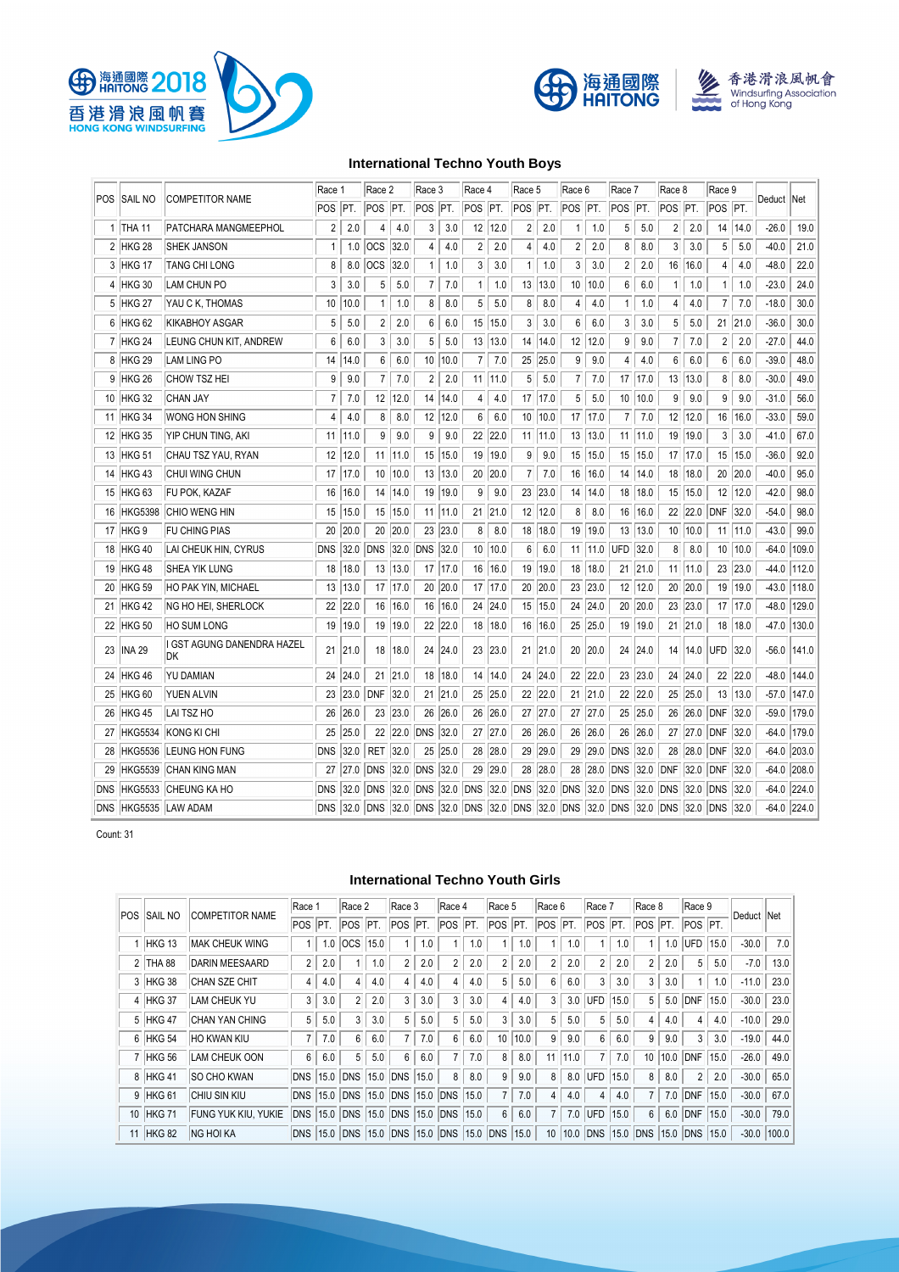





# **International Techno Youth Boys**

| POS        | SAIL NO           | <b>COMPETITOR NAME</b>                  | Race 1               |         | Race 2          |      | Race 3         |         | Race 4                                                                           |      | Race 5               |             | Race 6 |          | Race 7         |           | Race 8         |           | Race 9          |             |              |               |
|------------|-------------------|-----------------------------------------|----------------------|---------|-----------------|------|----------------|---------|----------------------------------------------------------------------------------|------|----------------------|-------------|--------|----------|----------------|-----------|----------------|-----------|-----------------|-------------|--------------|---------------|
|            |                   |                                         | POS <sup>I</sup> PT. |         | POS PT.         |      | POS PT.        |         | POS PT.                                                                          |      | POS <sup>I</sup> PT. |             | POS    | PT.      | POS PT.        |           | POS PT.        |           | POS PT.         |             | Deduct   Net |               |
|            | 1   THA 11        | PATCHARA MANGMEEPHOL                    | 2                    | 2.0     | 4               | 4.0  | 3              | 3.0     | 12                                                                               | 12.0 | 2                    | 2.0         | 1      | 1.0      | 5              | 5.0       | $\overline{c}$ | 2.0       |                 | 14   14.0   | $-26.0$      | 19.0          |
| 2          | HKG <sub>28</sub> | <b>SHEK JANSON</b>                      | 1                    | 1.0     | <b>OCS</b>      | 32.0 | 4              | 4.0     | 2                                                                                | 2.0  | 4                    | 4.0         | 2      | 2.0      | 8              | 8.0       | 3              | 3.0       | 5               | 5.0         | $-40.0$      | 21.0          |
| 3          | HKG 17            | <b>TANG CHI LONG</b>                    | 8                    | 8.0     | <sub>OCS</sub>  | 32.0 | $\mathbf{1}$   | 1.0     | 3                                                                                | 3.0  | $\mathbf{1}$         | 1.0         | 3      | 3.0      | $\overline{c}$ | 2.0       |                | 16 16.0   | 4               | 4.0         | $-48.0$      | 22.0          |
| 4          | <b>HKG 30</b>     | LAM CHUN PO                             | 3                    | 3.0     | 5               | 5.0  | $\overline{7}$ | 7.0     | 1                                                                                | 1.0  | 13                   | 13.0        | 10     | 10.0     | 6              | 6.0       | $\mathbf{1}$   | 1.0       | $\mathbf{1}$    | 1.0         | $-23.0$      | 24.0          |
| 5          | HKG <sub>27</sub> | YAU C K, THOMAS                         | 10                   | 10.0    | 1               | 1.0  | 8              | 8.0     | 5                                                                                | 5.0  | 8                    | 8.0         | 4      | 4.0      | $\mathbf{1}$   | 1.0       | 4              | 4.0       | $\overline{7}$  | 7.0         | $-18.0$      | 30.0          |
| 6          | HKG <sub>62</sub> | <b>KIKABHOY ASGAR</b>                   | 5                    | 5.0     | 2               | 2.0  | 6              | 6.0     | 15                                                                               | 15.0 | 3                    | 3.0         | 6      | 6.0      | 3              | 3.0       | 5              | 5.0       |                 | 21 21.0     | $-36.0$      | 30.0          |
|            | 7 HKG 24          | LEUNG CHUN KIT, ANDREW                  | 6                    | 6.0     | 3               | 3.0  | 5              | 5.0     | 13                                                                               | 13.0 |                      | 14 14.0     | 12     | 12.0     | 9              | 9.0       | $\overline{7}$ | 7.0       | $\overline{2}$  | 2.0         | $-27.0$      | 44.0          |
| 8          | <b>HKG 29</b>     | LAM LING PO                             | 14                   | 14.0    | 6               | 6.0  | 10             | 10.0    | 7                                                                                | 7.0  | 25                   | 25.0        | 9      | 9.0      | 4              | 4.0       | 6              | 6.0       | 6               | 6.0         | $-39.0$      | 48.0          |
| 9          | <b>HKG 26</b>     | <b>CHOW TSZ HEI</b>                     | 9                    | 9.0     | 7               | 7.0  | $\overline{2}$ | 2.0     | 11                                                                               | 11.0 | 5                    | 5.0         | 7      | 7.0      |                | 17   17.0 | 13             | 13.0      | 8               | 8.0         | $-30.0$      | 49.0          |
| 10         | <b>HKG 32</b>     | <b>CHAN JAY</b>                         | 7                    | 7.0     | 12              | 12.0 | 14             | 14.0    | 4                                                                                | 4.0  |                      | 17 17.0     | 5      | 5.0      | 10             | 10.0      | 9              | 9.0       | 9               | 9.0         | $-31.0$      | 56.0          |
| 11         | <b>HKG 34</b>     | <b>WONG HON SHING</b>                   | 4                    | 4.0     | 8               | 8.0  |                | 12 12.0 | 6                                                                                | 6.0  | 10                   | 10.0        | 17     | 17.0     | $\overline{7}$ | 7.0       | 12             | 12.0      | 16              | 16.0        | $-33.0$      | 59.0          |
| 12         | <b>HKG 35</b>     | YIP CHUN TING, AKI                      | 11                   | 11.0    | 9               | 9.0  | 9              | 9.0     | 22                                                                               | 22.0 |                      | $11$   11.0 | 13     | 13.0     | 11             | 11.0      | 19             | 19.0      | 3               | 3.0         | $-41.0$      | 67.0          |
| 13         | <b>HKG 51</b>     | CHAU TSZ YAU, RYAN                      | 12                   | 12.0    | 11              | 11.0 | 15             | 15.0    | 19                                                                               | 19.0 | 9                    | 9.0         | 15     | 15.0     | 15             | 15.0      |                | 17   17.0 | 15              | 15.0        | $-36.0$      | 92.0          |
| 14         | <b>HKG 43</b>     | CHUI WING CHUN                          |                      | 17 17.0 | 10              | 10.0 |                | 13 13.0 | 20                                                                               | 20.0 | $\overline{7}$       | 7.0         | 16     | 16.0     | 14             | 14.0      |                | 18 18.0   |                 | 20 20.0     | $-40.0$      | 95.0          |
| 15         | <b>HKG 63</b>     | FU POK, KAZAF                           | 16                   | 16.0    | 14              | 14.0 | 19             | 19.0    | 9                                                                                | 9.0  | 23                   | 23.0        | 14     | 14.0     | 18             | 18.0      |                | 15 15.0   | 12              | 12.0        | $-42.0$      | 98.0          |
| 16         | <b>HKG5398</b>    | <b>CHIO WENG HIN</b>                    | 15                   | 15.0    | 15              | 15.0 |                | 11 11.0 | 21                                                                               | 21.0 |                      | 12 12.0     | 8      | 8.0      | 16             | 16.0      |                | 22 22.0   | <b>DNF</b>      | 32.0        | $-54.0$      | 98.0          |
| 17         | HKG <sub>9</sub>  | <b>FU CHING PIAS</b>                    | 20                   | 20.0    | 20              | 20.0 | 23             | 23.0    | 8                                                                                | 8.0  | 18                   | 18.0        | 19     | 19.0     | 13             | 13.0      |                | 10 10.0   |                 | $11$   11.0 | $-43.0$      | 99.0          |
| 18         | <b>HKG 40</b>     | LAI CHEUK HIN, CYRUS                    | <b>DNS</b>           | 32.0    | <b>DNS</b>      | 32.0 | <b>DNS</b>     | 32.0    | 10                                                                               | 10.0 | 6                    | 6.0         | 11     | 11.0     | <b>UFD</b>     | 32.0      | 8              | 8.0       | 10 <sup>°</sup> | 10.0        | $-64.0$      | 109.0         |
| 19         | <b>HKG 48</b>     | <b>SHEA YIK LUNG</b>                    | 18                   | 18.0    | 13              | 13.0 | 17             | 17.0    | 16                                                                               | 16.0 | 19                   | 19.0        | 18     | 18.0     | 21             | 21.0      |                | 11 11.0   |                 | 23 23.0     | $-44.0$      | 112.0         |
| 20         | <b>HKG 59</b>     | HO PAK YIN, MICHAEL                     | 13                   | 13.0    | 17              | 17.0 | 20             | 20.0    | 17                                                                               | 17.0 | 20                   | 20.0        | 23     | 23.0     | 12             | 12.0      | 20             | 20.0      | 19              | 19.0        | $-43.0$      | 118.0         |
| 21         | <b>HKG 42</b>     | NG HO HEI, SHERLOCK                     | 22                   | 22.0    | 16              | 16.0 | 16             | 16.0    | 24                                                                               | 24.0 | 15                   | 15.0        | 24     | 24.0     | 20             | 20.0      |                | 23 23.0   |                 | 17   17.0   | $-48.0$      | 129.0         |
| 22         | <b>HKG 50</b>     | <b>HO SUM LONG</b>                      | 19                   | 19.0    | 19              | 19.0 |                | 22 22.0 | 18                                                                               | 18.0 | 16                   | 16.0        | 25     | 25.0     | 19             | 19.0      | 21             | 21.0      | 18              | 18.0        | $-47.0$      | 130.0         |
| 23         | <b>INA 29</b>     | I GST AGUNG DANENDRA HAZEL<br><b>DK</b> | 21                   | 21.0    | 18              | 18.0 | 24             | 24.0    | 23                                                                               | 23.0 | 21                   | 21.0        | 20     | 20.0     | 24             | 24.0      | 14             | 14.0      | <b>UFD</b>      | 32.0        | $-56.0$      | 141.0         |
| 24         | <b>HKG 46</b>     | <b>YU DAMIAN</b>                        | 24                   | 24.0    | 21              | 21.0 |                | 18 18.0 | 14                                                                               | 14.0 |                      | 24 24.0     | 22     | 22.0     |                | 23 23.0   |                | 24 24.0   |                 | 22 22.0     | $-48.0$      | 144.0         |
| 25         | <b>HKG 60</b>     | <b>YUEN ALVIN</b>                       |                      | 23 23.0 | <b>DNF</b>      | 32.0 |                | 21 21.0 | 25                                                                               | 25.0 |                      | 22 22.0     | 21     | 21.0     | 22             | 22.0      |                | 25 25.0   | 13              | 13.0        | $-57.0$      | 147.0         |
| 26         | <b>HKG 45</b>     | LAI TSZ HO                              | 26                   | 26.0    | 23              | 23.0 | 26             | 26.0    | 26                                                                               | 26.0 |                      | 27 27.0     | 27     | 27.0     |                | 25 25.0   |                | 26 26.0   | DNF             | 32.0        | $-59.0$      | 179.0         |
| 27         | <b>HKG5534</b>    | KONG KI CHI                             | 25                   | 25.0    | 22              | 22.0 | <b>DNS</b>     | 32.0    | 27                                                                               | 27.0 | 26                   | 26.0        | 26     | 26.0     | 26             | 26.0      |                | 27 27.0   | DNF             | 32.0        | $-64.0$      | 179.0         |
| 28         | <b>HKG5536</b>    | <b>LEUNG HON FUNG</b>                   | <b>DNS</b>           | 32.0    | RET 32.0        |      | 25             | 25.0    | 28                                                                               | 28.0 |                      | 29 29.0     | 29     | 29.0     | DNS            | 32.0      |                | 28 28.0   | DNF             | 32.0        | $-64.0$      | 203.0         |
| 29         | <b>HKG5539</b>    | <b>CHAN KING MAN</b>                    | 27                   | 27.0    | <b>DNS</b>      | 32.0 | <b>DNS</b>     | 32.0    | 29                                                                               | 29.0 | 28                   | 28.0        | 28     | 28.0     | DNS            | 32.0      | DNF            | 32.0      | DNF             | 32.0        |              | $-64.0$ 208.0 |
| <b>DNS</b> |                   | HKG5533 CHEUNG KA HO                    | <b>DNS</b>           | 32.0    | <b>DNS 32.0</b> |      | DNS 32.0       |         | DNS                                                                              | 32.0 | DNS 32.0             |             | DNS    | 32.0 DNS |                | 32.0      | DNS            | 32.0      | DNS             | 32.0        | $-64.0$      | 224.0         |
| <b>DNS</b> |                   | HKG5535 LAW ADAM                        | <b>DNS</b>           | 32.0    |                 |      |                |         | DNS 32.0 DNS 32.0 DNS 32.0 DNS 32.0 DNS 32.0 DNS 32.0 DNS 32.0 DNS 32.0 DNS 32.0 |      |                      |             |        |          |                |           |                |           |                 |             |              | $-64.0$ 224.0 |

Count: 31

# **International Techno Youth Girls**

|                |                |                            | Race 1               |     | Race 2                |      | Race 3     |      | Race 4              |      | Race 5         |      | Race 6          |      | Race 7         |      | Race 8                   |      | Race 9         |      |            |       |
|----------------|----------------|----------------------------|----------------------|-----|-----------------------|------|------------|------|---------------------|------|----------------|------|-----------------|------|----------------|------|--------------------------|------|----------------|------|------------|-------|
| <b>POS</b>     | <b>SAIL NO</b> | <b>COMPETITOR NAME</b>     | POS <sup>IPT</sup> . |     | <b>POS</b>            | PT.  | POS        | IPT. | POS                 | PT.  | POS            | PT.  | POS             | PT.  | POS PT.        |      | POS PT.                  |      | POS PT.        |      | Deduct Net |       |
|                | HKG 13         | <b>MAK CHEUK WING</b>      |                      | 1.0 | <b>OCS</b>            | 15.0 |            | 1.0  |                     | 1.0  |                | 1.0  |                 | 1.0  |                | 0.5  |                          | .0   | UFD            | 15.0 | $-30.0$    | 7.0   |
| $\overline{2}$ | THA 88         | <b>DARIN MEESAARD</b>      | $\overline{2}$       | 2.0 |                       | 1.0  | 2          | 2.0  | $\overline{2}$      | 2.0  | $\overline{2}$ | 2.0  | $\overline{2}$  | 2.0  | $\overline{2}$ | 2.0  | $\overline{2}$           | 2.0  | 5              | 5.0  | $-7.0$     | 13.0  |
|                | 3 HKG 38       | <b>CHAN SZE CHIT</b>       | 4                    | 4.0 | 4                     | 4.0  | 4          | 4.0  | 4                   | 4.0  | 5              | 5.0  | 6               | 6.0  | 3              | 3.0  | 3                        | 3.0  |                | 1.0  | $-11.0$    | 23.0  |
|                | 4 HKG 37       | LAM CHEUK YU               | 3                    | 3.0 | $\overline{2}$        | 2.0  | 3          | 3.0  | 3                   | 3.0  | 4              | 4.0  | 3               | 3.0  | UFD            | 15.0 | 5                        | 5.0  | DNF            | 15.0 | $-30.0$    | 23.0  |
|                | 5 HKG 47       | <b>CHAN YAN CHING</b>      | 5                    | 5.0 | 3                     | 3.0  | 5          | 5.0  | 5                   | 5.0  | 3              | 3.0  | 5               | 5.0  | 5              | 5.0  | 4                        | 4.0  | 4              | 4.0  | $-10.0$    | 29.0  |
|                | 6 HKG 54       | <b>HO KWAN KIU</b>         | $\overline{7}$       | 7.0 | 6                     | 6.0  |            | 7.0  | 6                   | 6.0  | 10             | 10.0 | 9               | 9.0  | 6              | 6.0  | 9                        | 9.0  | 3              | 3.0  | $-19.0$    | 44.0  |
|                | 7 HKG 56       | <b>LAM CHEUK OON</b>       | 6                    | 6.0 | 5                     | 5.0  | 6          | 6.0  |                     | 7.0  | 8              | 8.0  | 11              | 11.0 |                | 7.0  | 10                       | 10.0 | <b>DNF</b>     | 15.0 | $-26.0$    | 49.0  |
|                | 8 HKG 41       | <b>SO CHO KWAN</b>         |                      |     | DNS 15.0 DNS 15.0 DNS |      |            | 15.0 | 8                   | 8.0  | 9              | 9.0  | 8               | 8.0  | <b>UFD</b>     | 15.0 | 8                        | 8.0  | $\overline{2}$ | 2.0  | $-30.0$    | 65.0  |
|                | 9 HKG 61       | <b>CHIU SIN KIU</b>        |                      |     | DNS 15.0 DNS 15.0 DNS |      |            | 15.0 | <b>DNS</b>          | 15.0 |                | 7.0  | $\overline{4}$  | 4.0  | 4              | 4.0  | $\overline{7}$           | 7.0  | <b>DNF</b>     | 15.0 | $-30.0$    | 67.0  |
| 10             | HKG 71         | <b>FUNG YUK KIU, YUKIE</b> | DNS 15.0             |     | <b>DNS 15.0</b>       |      | <b>DNS</b> | 15.0 | <b>DNS 15.0</b>     |      | 6              | 6.0  |                 | 7.0  | <b>UFD</b>     | 15.0 | $6\overline{6}$          | 6.0  | <b>DNF</b>     | 15.0 | $-30.0$    | 79.0  |
|                | 11 HKG 82      | <b>NG HOI KA</b>           | DNS 15.0             |     | <b>DNS 15.0 DNS</b>   |      |            | 15.0 | <b>DNS 15.0 DNS</b> |      |                | 15.0 | 10 <sup>1</sup> | 10.0 | <b>DNS</b>     | 15.0 | <b>DNS 15.0 DNS 15.0</b> |      |                |      | $-30.0$    | 100.0 |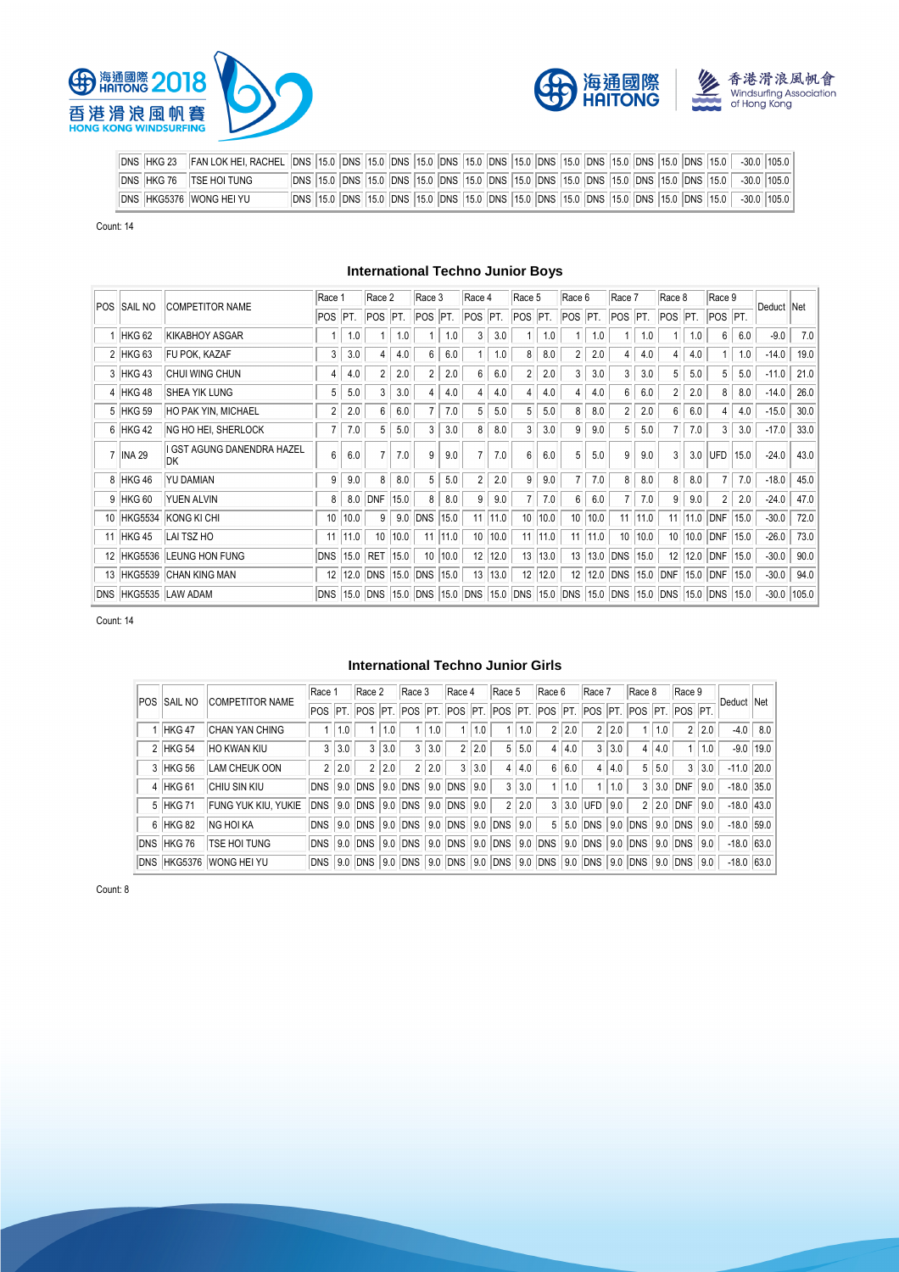





| DNS  HKG 23  FAN LOK HEI, RACHEL  DNS  15.0  DNS  15.0  DNS  15.0  DNS  15.0  DNS  15.0  DNS  15.0  DNS  15.0  DNS  15.0  DNS  15.0  DNS  15.0  DNS  15.0  DNS  15.0  DNS  15.0  DNS  15.0  DNS  15.0  DNS  15.0  DNS  15.0 |  |  |                                                                                                       |
|-----------------------------------------------------------------------------------------------------------------------------------------------------------------------------------------------------------------------------|--|--|-------------------------------------------------------------------------------------------------------|
| DNS HKG 76 TSE HOI TUNG                                                                                                                                                                                                     |  |  | DNS 15.0 DNS 15.0 DNS 15.0 DNS 15.0 DNS 15.0 DNS 15.0 DNS 15.0 DNS 15.0 DNS 15.0 DNS 15.0 -30.0 105.0 |
| DNS HKG5376 WONG HEI YU                                                                                                                                                                                                     |  |  | DNS 15.0 DNS 15.0 DNS 15.0 DNS 15.0 DNS 15.0 DNS 15.0 DNS 15.0 DNS 15.0 DNS 15.0 DNS 15.0 30.0 105.0  |

Count: 14

# **International Techno Junior Boys**

|    | <b>POS SAIL NO</b> | <b>COMPETITOR NAME</b>            | Race 1         |      | Race 2          |      | Race 3          |      | Race 4                                                                                    |      | Race 5          |      | Race 6         |      | Race 7          |         | Race 8         |         | Race 9         |      | Deduct Net |       |
|----|--------------------|-----------------------------------|----------------|------|-----------------|------|-----------------|------|-------------------------------------------------------------------------------------------|------|-----------------|------|----------------|------|-----------------|---------|----------------|---------|----------------|------|------------|-------|
|    |                    |                                   | POS PT.        |      | POS PT.         |      | POS PT.         |      | POS PT.                                                                                   |      | POS PT.         |      | POS PT.        |      | POS PT.         |         | POS PT.        |         | POS PT.        |      |            |       |
|    | HKG <sub>62</sub>  | <b>KIKABHOY ASGAR</b>             |                | 1.0  |                 | 1.0  |                 | 1.0  | 3                                                                                         | 3.0  |                 | 1.0  |                | 1.0  |                 | 1.0     |                | 1.0     | 6              | 6.0  | $-9.0$     | 7.0   |
|    | 2 HKG 63           | FU POK, KAZAF                     | 3              | 3.0  | 4               | 4.0  | 6               | 6.0  |                                                                                           | 1.0  | 8               | 8.0  | $\overline{2}$ | 2.0  | 4               | 4.0     | $\overline{4}$ | 4.0     |                | 1.0  | $-14.0$    | 19.0  |
|    | 3 HKG 43           | CHUI WING CHUN                    | 4              | 4.0  | $\overline{2}$  | 2.0  | $\overline{2}$  | 2.0  | 6                                                                                         | 6.0  | $\overline{2}$  | 2.0  | 3              | 3.0  | 3               | 3.0     | 5              | 5.0     | 5              | 5.0  | $-11.0$    | 21.0  |
|    | 4 HKG 48           | <b>SHEA YIK LUNG</b>              | 5              | 5.0  | 3               | 3.0  |                 | 4.0  | 4                                                                                         | 4.0  | 4               | 4.0  | 4              | 4.0  | 6               | 6.0     | $\overline{2}$ | 2.0     | 8              | 8.0  | $-14.0$    | 26.0  |
|    | 5 HKG 59           | <b>HO PAK YIN, MICHAEL</b>        | $\overline{2}$ | 2.0  | 6               | 6.0  |                 | 7.0  | 5                                                                                         | 5.0  | 5               | 5.0  | 8              | 8.0  | $\overline{2}$  | 2.0     | 6              | 6.0     | 4              | 4.0  | $-15.0$    | 30.0  |
|    | 6 HKG 42           | NG HO HEI, SHERLOCK               | 7              | 7.0  | 5               | 5.0  | 3               | 3.0  | 8                                                                                         | 8.0  | 3               | 3.0  | 9              | 9.0  | 5               | 5.0     | $\overline{7}$ | 7.0     | 3              | 3.0  | $-17.0$    | 33.0  |
|    | 7   INA 29         | I GST AGUNG DANENDRA HAZEL<br>IDК | 6              | 6.0  |                 | 7.0  | 9               | 9.0  | 7                                                                                         | 7.0  | 6               | 6.0  | 5              | 5.0  | 9               | 9.0     | 3              | 3.0     | UFD            | 15.0 | $-24.0$    | 43.0  |
|    | 8 HKG 46           | <b>YU DAMIAN</b>                  | 9              | 9.0  | 8               | 8.0  | 5               | 5.0  | $\overline{2}$                                                                            | 2.0  | 9               | 9.0  | $\overline{7}$ | 7.0  | 8               | 8.0     | 8              | 8.0     | $\overline{7}$ | 7.0  | $-18.0$    | 45.0  |
|    | 9 HKG 60           | <b>YUEN ALVIN</b>                 | 8              | 8.0  | <b>DNF</b>      | 15.0 | 8               | 8.0  | 9                                                                                         | 9.0  |                 | 7.0  | 6              | 6.0  |                 | 7.0     | 9              | 9.0     | $\overline{2}$ | 2.0  | $-24.0$    | 47.0  |
|    |                    | 10 HKG5534 KONG KI CHI            | 10             | 10.0 | 9               | 9.0  | DNS             | 15.0 | 11                                                                                        | 11.0 | 10 <sup>1</sup> | 10.0 | 10             | 10.0 |                 | 11 11.0 | 11             | 11.0    | DNF            | 15.0 | $-30.0$    | 72.0  |
| 11 | HKG 45             | LAI TSZ HO                        | 11             | 11.0 | 10 <sup>°</sup> | 10.0 | 11              | 11.0 | 10                                                                                        | 10.0 | 11              | 11.0 | 11             | 11.0 | 10 <sup>°</sup> | 10.0    |                | 10 10.0 | DNF            | 15.0 | $-26.0$    | 73.0  |
|    |                    | 12 HKG5536 LEUNG HON FUNG         | DNS            | 15.0 | RET 15.0        |      | 10 <sup>1</sup> | 10.0 | 12                                                                                        | 12.0 | 13              | 13.0 | 13             | 13.0 | DNS             | 15.0    | 12             | 12.0    | DNF 15.0       |      | $-30.0$    | 90.0  |
| 13 |                    | HKG5539 CHAN KING MAN             | 12             |      | 12.0 DNS        |      | 15.0 DNS        | 15.0 | 13                                                                                        | 13.0 | 12              | 12.0 | 12             | 12.0 | DNS             | 15.0    | DNF            | 15.0    | DNF            | 15.0 | $-30.0$    | 94.0  |
|    |                    | DNS HKG5535 LAW ADAM              |                |      |                 |      |                 |      | DNS 15.0 DNS 15.0 DNS 15.0 DNS 15.0 DNS 15.0 DNS 15.0 DNS 15.0 DNS 15.0 DNS 15.0 DNS 15.0 |      |                 |      |                |      |                 |         |                |         |                |      | $-30.0$    | 105.0 |

Count: 14

#### **International Techno Junior Girls**

|            |                |                         | Race 1 |       | Race 2 |       | Race 3                                                                          |       | Race 4 |       | Race 5 |       | Race 6         |     | Race 7    |     | Race 8                        |       | Race 9                |     |              |             |
|------------|----------------|-------------------------|--------|-------|--------|-------|---------------------------------------------------------------------------------|-------|--------|-------|--------|-------|----------------|-----|-----------|-----|-------------------------------|-------|-----------------------|-----|--------------|-------------|
| <b>POS</b> | <b>SAIL NO</b> | <b>COMPETITOR NAME</b>  |        |       |        |       | POS PT. POS PT. POS PT. POS PT. POS PT. POS PT. POS PT. POS PT. POS PT. POS PT. |       |        |       |        |       |                |     |           |     |                               |       |                       |     | Deduct Net   |             |
|            | 1 HKG 47       | CHAN YAN CHING          |        | 1.0   |        | 1.0   |                                                                                 | 1.0   |        | 1.0   |        | 1.0   | 2 <sup>1</sup> | 2.0 | 2         | 2.0 |                               | 1.0   | 2 <sup>1</sup>        | 2.0 |              | $-4.0$ 8.0  |
|            | 2 HKG 54       | HO KWAN KIU             | 3      | 3.0   | 3      | 3.0   | 3                                                                               | 3.0   | 2      | 2.0   | 5      | 5.0   | 4 <sup>1</sup> | 4.0 | 3         | 3.0 | 4                             | 4.0   |                       | 1.0 |              | $-9.0$ 19.0 |
|            | 3 HKG 56       | LAM CHEUK OON           |        | 2 2.0 |        | 2 2.0 |                                                                                 | 2 2.0 |        | 3 3.0 | 4      | 14.0  | 6 <sup>1</sup> | 6.0 | 4         | 4.0 |                               | 5 5.0 | 3 <sup>1</sup>        | 3.0 | $-11.0$ 20.0 |             |
|            | 4 HKG 61       | <b>CHIU SIN KIU</b>     |        |       |        |       | DNS 9.0 DNS 9.0 DNS 9.0 DNS 9.0                                                 |       |        |       | 3      | 3.0   |                | 1.0 |           | 1.0 |                               |       | $3$   3.0   DNF   9.0 |     | $-18.0$ 35.0 |             |
|            | 5 HKG 71       | FUNG YUK KIU, YUKIE     |        |       |        |       | DNS 9.0 DNS 9.0 DNS 9.0 DNS 9.0                                                 |       |        |       |        | 2 2.0 |                |     | 3 3.0 UFD | 9.0 |                               |       | $2$   2.0   DNF   9.0 |     | $-18.0$ 43.0 |             |
|            | 6 HKG 82       | <b>NG HOI KA</b>        |        |       |        |       | DNS 9.0 DNS 9.0 DNS 9.0 DNS 9.0 DNS 9.0                                         |       |        |       |        |       |                |     |           |     | 5 5.0 DNS 9.0 DNS 9.0 DNS 9.0 |       |                       |     | $-18.0$ 59.0 |             |
|            | DNS HKG 76     | <b>TSE HOI TUNG</b>     |        |       |        |       | DNS 9.0 DNS 9.0 DNS 9.0 DNS 9.0 DNS 9.0 DNS 9.0 DNS 9.0 DNS 9.0 DNS 9.0 DNS 9.0 |       |        |       |        |       |                |     |           |     |                               |       |                       |     | $-18.0$ 63.0 |             |
|            |                | DNS HKG5376 WONG HEI YU |        |       |        |       | DNS 9.0 DNS 9.0 DNS 9.0 DNS 9.0 DNS 9.0 DNS 9.0 DNS 9.0 DNS 9.0 DNS 9.0 DNS 9.0 |       |        |       |        |       |                |     |           |     |                               |       |                       |     | $-18.0$ 63.0 |             |

Count: 8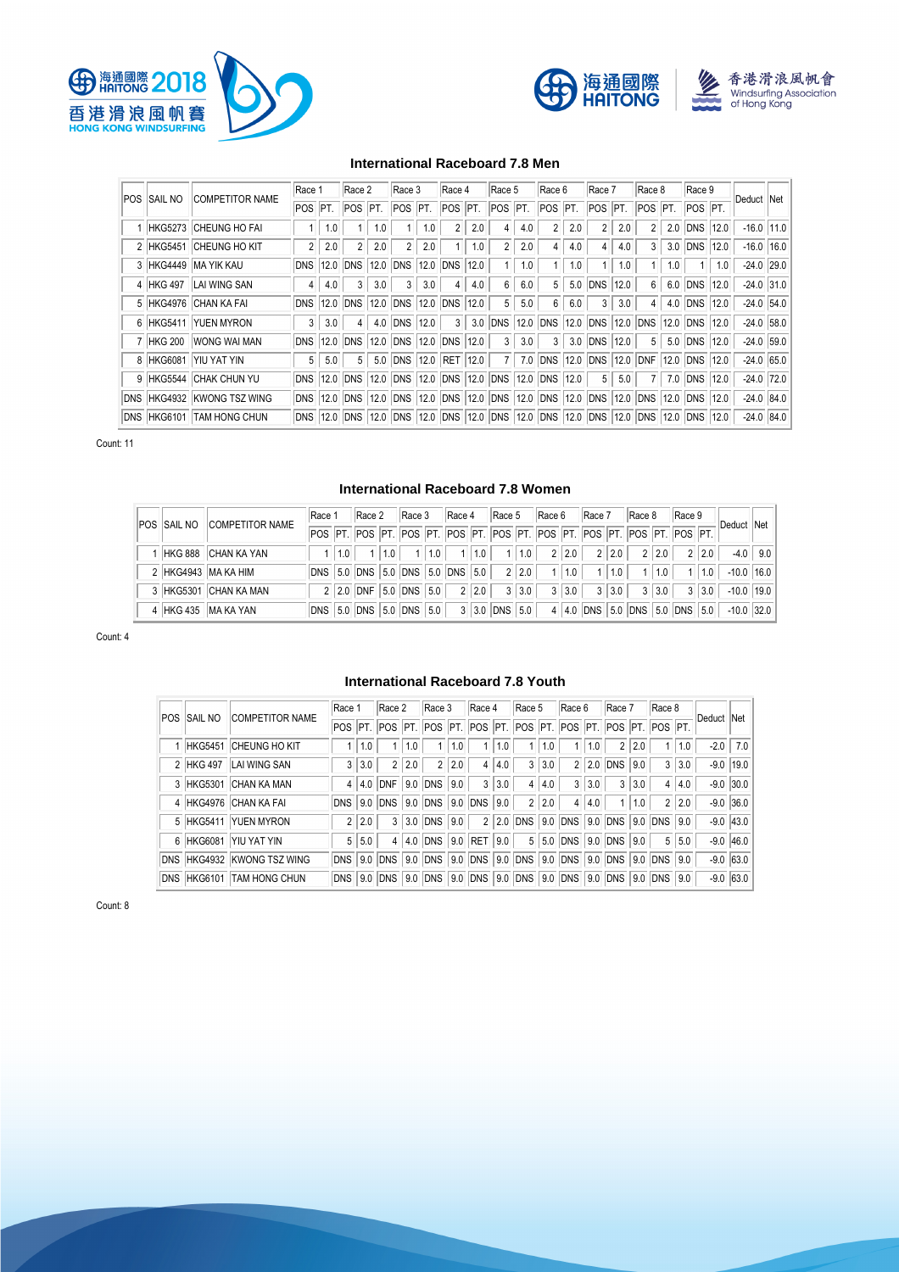





# **International Raceboard 7.8 Men**

|                     |                            | Race 1         |     | Race 2                |      | Race 3              |     | Race 4         |      | Race 5                                                                                    |     | Race 6                |      | Race 7         |      | Race 8      |     | Race 9          |     |            |                |
|---------------------|----------------------------|----------------|-----|-----------------------|------|---------------------|-----|----------------|------|-------------------------------------------------------------------------------------------|-----|-----------------------|------|----------------|------|-------------|-----|-----------------|-----|------------|----------------|
| <b>POS ISAIL NO</b> | <b>COMPETITOR NAME</b>     | POS PT.        |     | POS PT.               |      | POS PT.             |     | POS PT.        |      | POS PT.                                                                                   |     | POS PT.               |      | POS PT.        |      | $POS$ $PT.$ |     | POS PT.         |     | Deduct Net |                |
|                     | HKG5273 CHEUNG HO FAI      |                | 1.0 |                       | 1.0  |                     | 1.0 |                | 2.0  | 4                                                                                         | 4.0 | 2                     | 2.0  | $\overline{2}$ | 2.0  |             | 2.0 | DNS 12.0        |     |            | $-16.0$   11.0 |
|                     | 2 HKG5451 CHEUNG HO KIT    | $\overline{2}$ | 2.0 |                       | 2.0  | $\overline{2}$      | 2.0 |                | 1.0  | $\overline{2}$                                                                            | 2.0 | 4                     | 4.0  | $\overline{4}$ | 4.0  | 3           | 3.0 | <b>DNS 12.0</b> |     |            | $-16.0$   16.0 |
|                     | 3 HKG4449 MA YIK KAU       |                |     | <b>DNS 12.0 DNS</b>   | 12.0 | <b>DNS 12.0 DNS</b> |     |                | 12.0 |                                                                                           | 1.0 |                       | 1.0  |                | 1.0  |             | 1.0 |                 | 1.0 |            | $-24.0$ 29.0   |
|                     | 4 HKG 497 LAI WING SAN     | 4              | 4.0 | 3                     | 3.0  | 3                   | 3.0 | $\overline{4}$ | 4.0  | 6                                                                                         | 6.0 | 5.                    |      | 5.0 DNS        | 12.0 | 6           |     | 6.0 DNS 12.0    |     |            | $-24.0$ 31.0   |
|                     | 5 HKG4976 CHAN KA FAI      |                |     | DNS 12.0 DNS          | 12.0 | <b>DNS 12.0 DNS</b> |     |                | 12.0 | 5                                                                                         | 5.0 | 6                     | 6.0  | 3              | 3.0  | 4           | 4.0 | <b>DNS 12.0</b> |     |            | $-24.0$ 54.0   |
|                     | 6 HKG5411 YUEN MYRON       | 3              | 3.0 |                       | 4.0  | <b>DNS 12.0</b>     |     | 3              | 3.0  | DNS                                                                                       |     | 12.0 DNS              | 12.0 | DNS 12.0       |      | DNS         |     | 12.0 DNS 12.0   |     |            | $-24.0$ 58.0   |
|                     | 7 HKG 200 WONG WAI MAN     | <b>DNS</b>     |     | 12.0 DNS              | 12.0 | <b>DNS 12.0 DNS</b> |     |                | 12.0 | 3                                                                                         | 3.0 | 3                     |      | 3.0 DNS 12.0   |      | 5           |     | 5.0 DNS 12.0    |     |            | $-24.0$ 59.0   |
|                     | 8 HKG6081 YIU YAT YIN      | 5              | 5.0 | 5                     | 5.0  | DNS 12.0 RET 12.0   |     |                |      | 7 <sup>1</sup>                                                                            |     | 7.0 DNS 12.0 DNS 12.0 |      |                |      | DNF         |     | 12.0 DNS 12.0   |     |            | $-24.0$ 65.0   |
|                     | 9 HKG5544 CHAK CHUN YU     |                |     | <b>DNS 12.0 DNS</b>   |      |                     |     |                |      | 12.0 DNS 12.0 DNS 12.0 DNS 12.0 DNS 12.0                                                  |     |                       |      | 5 <sup>1</sup> | 5.0  |             | 7.0 | <b>DNS 12.0</b> |     |            | $-24.0$ 72.0   |
|                     | DNS HKG4932 KWONG TSZ WING |                |     |                       |      |                     |     |                |      | DNS 12.0 DNS 12.0 DNS 12.0 DNS 12.0 DNS 12.0 DNS 12.0 DNS 12.0 DNS 12.0 DNS 12.0 DNS 12.0 |     |                       |      |                |      |             |     |                 |     |            | $-24.0$ 84.0   |
|                     | DNS HKG6101 TAM HONG CHUN  |                |     | <b>DNS 12.0 DNS 1</b> |      |                     |     |                |      | 12.0 DNS 12.0 DNS 12.0 DNS 12.0 DNS 12.0 DNS 12.0 DNS 12.0 DNS 12.0 DNS 12.0              |     |                       |      |                |      |             |     |                 |     |            | $-24.0$ 84.0   |

Count: 11

## **International Raceboard 7.8 Women**

|  | <b>POS SAIL NO COMPETITOR NAME</b> | Race 1 |       | Race 2 |       | Race 3                                 | Race 4            |       | $\vert$ Race 5 $\vert$ Race 6 $\vert$ Race 7                                    |                   | Race 8 Race 9     |                     |       | Deduct Net                                                                                                                  |     |
|--|------------------------------------|--------|-------|--------|-------|----------------------------------------|-------------------|-------|---------------------------------------------------------------------------------|-------------------|-------------------|---------------------|-------|-----------------------------------------------------------------------------------------------------------------------------|-----|
|  |                                    |        |       |        |       |                                        |                   |       | POS PT. POS PT. POS PT. POS PT. POS PT. POS PT. POS PT. POS PT. POS PT. POS PT. |                   |                   |                     |       |                                                                                                                             |     |
|  | 1 HKG 888 CHAN KA YAN              |        | 1 1.0 |        | 1 1.0 |                                        | 1   1.0   1   1.0 | 1 1.0 |                                                                                 | $2 2.0 $ $2 2.0 $ | $2 \mid 2.0 \mid$ |                     | 2 2.0 | $-4.0$                                                                                                                      | 9.0 |
|  | 2 HKG4943 MA KA HIM                |        |       |        |       | DNS 5.0 DNS 5.0 DNS 5.0 DNS 5.0        |                   | 2 2.0 |                                                                                 | 1   1.0   1   1.0 | $-1$              | $\vert$ 1.0 $\vert$ | 1.0   | $-10.0$ 16.0                                                                                                                |     |
|  | 3 HKG5301 CHAN KA MAN              |        |       |        |       | $2 2.0 $ DNF $ 5.0 $ DNS $ 5.0 $ 2 2.0 |                   | 3 3.0 |                                                                                 | $3 3.0 $ $3 3.0 $ | $3 \mid 3.0 \mid$ |                     | 3 3.0 | $-10.0$   19.0                                                                                                              |     |
|  | 4 HKG 435 MA KA YAN                |        |       |        |       |                                        |                   |       |                                                                                 |                   |                   |                     |       | DNS   5.0  DNS   5.0  DNS   5.0   DNS   5.0   3   3.0  DNS   5.0   4   4.0  DNS   5.0  DNS   5.0   DNS   5.0   -10.0   32.0 |     |

Count: 4

#### **International Raceboard 7.8 Youth**

| POS ISAIL NO | <b>COMPETITOR NAME</b>     | Race 1 |       | Race 2 |       | Race 3                      |     | Race 4         |     | Race 5                                                                         |     | Race 6 |       | Race 7                |     | Race 8         |     | Deduct Net |             |
|--------------|----------------------------|--------|-------|--------|-------|-----------------------------|-----|----------------|-----|--------------------------------------------------------------------------------|-----|--------|-------|-----------------------|-----|----------------|-----|------------|-------------|
|              |                            |        |       |        |       |                             |     |                |     | POS  PT.  POS  PT.  POS  PT.  POS  PT.  POS  PT.  POS  PT.  POS  PT.  POS  PT. |     |        |       |                       |     |                |     |            |             |
|              | 1 HKG5451 CHEUNG HO KIT    |        | 1.0   |        | 1.0   |                             | 1.0 |                | 1.0 | 1                                                                              | 1.0 |        | 1 1.0 | 2 <sup>1</sup>        | 2.0 |                | 1.0 |            | $-2.0$ 7.0  |
| 2 HKG 497    | LAI WING SAN               |        | 3 3.0 |        | 2 2.0 | $\overline{2}$              | 2.0 | 4              | 4.0 | 3                                                                              | 3.0 |        |       | $2$ 2.0 DNS           | 9.0 | 3              | 3.0 |            | $-9.0$ 19.0 |
|              | 3 HKG5301 CHAN KA MAN      |        |       |        |       | 4 4.0 DNF 9.0 DNS 9.0       |     | 3              | 3.0 | $\overline{4}$                                                                 | 4.0 |        | 3 3.0 | 3                     | 3.0 | 4              | 4.0 |            | $-9.0$ 30.0 |
|              | 4 HKG4976 CHAN KA FAI      |        |       |        |       | DNS 9.0 DNS 9.0 DNS 9.0 DNS |     |                | 9.0 | $\overline{2}$                                                                 | 2.0 |        | 4 4.0 |                       | 1.0 | $\overline{2}$ | 2.0 |            | $-9.0$ 36.0 |
|              | 5 HKG5411 YUEN MYRON       |        | 2 2.0 |        |       | 3 3.0 DNS 9.0               |     | $\overline{2}$ |     | 2.0 DNS 9.0 DNS 9.0 DNS 9.0 DNS                                                |     |        |       |                       |     |                | 9.0 |            | $-9.0$ 43.0 |
|              | 6 HKG6081 YIU YAT YIN      |        | 5 5.0 |        |       | 4 4.0 DNS 9.0 RET           |     |                | 9.0 |                                                                                |     |        |       | 5 5.0 DNS 9.0 DNS 9.0 |     | 5              | 5.0 |            | $-9.0$ 46.0 |
|              | DNS HKG4932 KWONG TSZ WING |        |       |        |       | DNS 9.0 DNS 9.0 DNS 9.0 DNS |     |                |     | 9.0 DNS 9.0 DNS 9.0 DNS 9.0 DNS 9.0                                            |     |        |       |                       |     |                |     |            | $-9.0$ 63.0 |
|              | DNS HKG6101 TAM HONG CHUN  |        |       |        |       |                             |     |                |     | DNS 9.0 DNS 9.0 DNS 9.0 DNS 9.0 DNS 9.0 DNS 9.0 DNS 9.0 DNS 9.0 DNS 9.0        |     |        |       |                       |     |                |     |            | $-9.0$ 63.0 |

Count: 8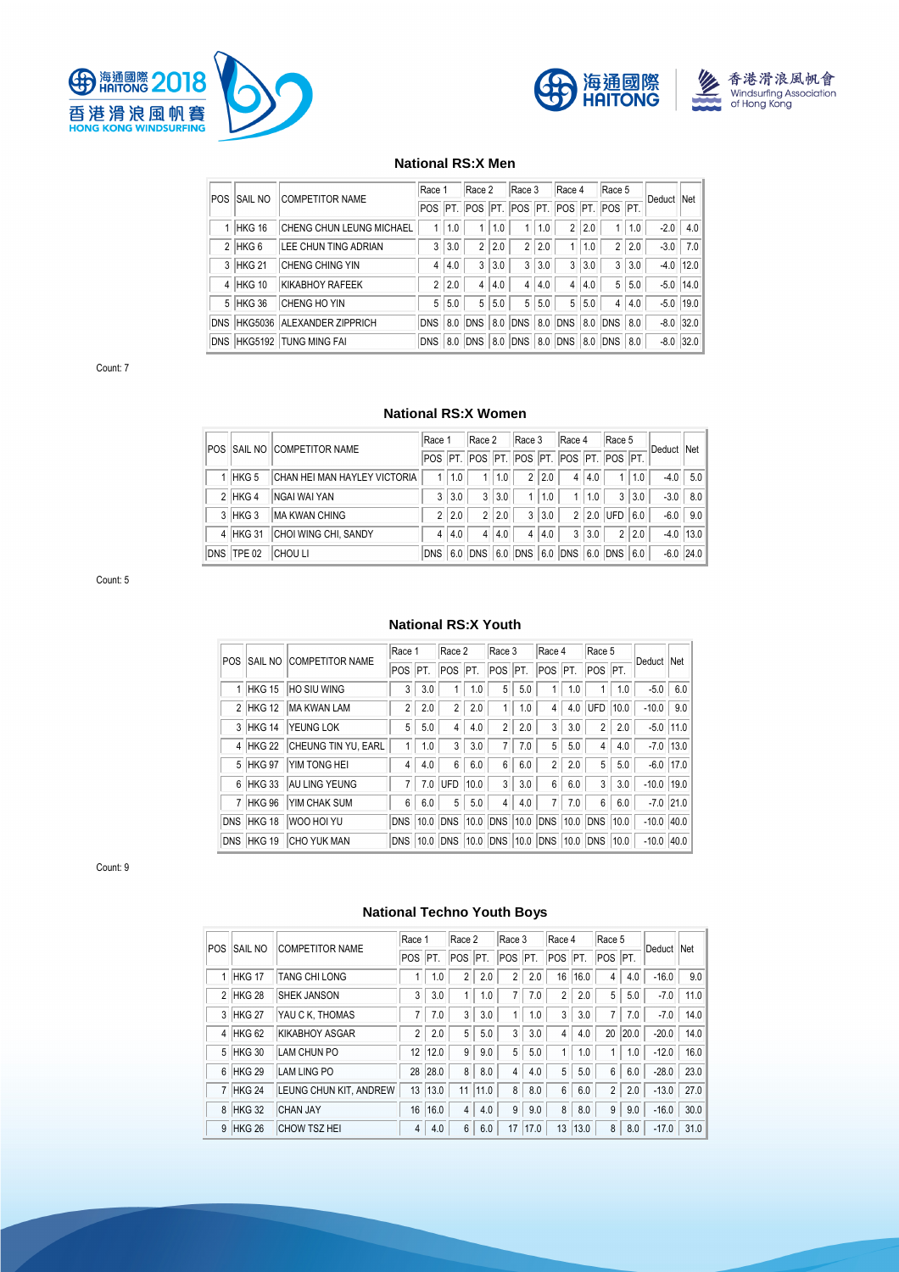





# **National RS:X Men**

| <b>POS</b> | <b>SAIL NO</b> | <b>COMPETITOR NAME</b>          | Race 1         |     | Race 2  |     | Race 3         |     | Race 4         |     | Race 5                                  |     | Deduct Net |               |
|------------|----------------|---------------------------------|----------------|-----|---------|-----|----------------|-----|----------------|-----|-----------------------------------------|-----|------------|---------------|
|            |                |                                 |                |     |         |     |                |     |                |     | POS PT. POS PT. POS PT. POS PT. POS PT. |     |            |               |
|            | 1 HKG 16       | <b>CHENG CHUN LEUNG MICHAEL</b> |                | 1.0 |         | 1.0 |                | 1.0 | $\overline{2}$ | 2.0 |                                         | 1.0 | $-2.0$     | 4.0           |
|            | $2$ HKG 6      | <b>LEE CHUN TING ADRIAN</b>     | 3              | 3.0 |         | 2.0 | $\overline{2}$ | 2.0 |                | 1.0 |                                         | 2.0 | $-3.0$     | 7.0           |
|            | 3 HKG 21       | <b>CHENG CHING YIN</b>          | 4              | 4.0 | 3       | 3.0 | 3              | 3.0 | 3              | 3.0 | 3 <sup>1</sup>                          | 3.0 |            | $-4.0$   12.0 |
|            | 4 HKG 10       | KIKABHOY RAFEEK                 | $\overline{2}$ | 2.0 | 4       | 4.0 | 4              | 4.0 | 4              | 4.0 | 5 <sup>1</sup>                          | 5.0 |            | $-5.0$   14.0 |
|            | 5 HKG 36       | <b>CHENG HO YIN</b>             | 5              | 5.0 | 5       | 5.0 | 5              | 5.0 | 5              | 5.0 | 4                                       | 4.0 |            | $-5.0$   19.0 |
|            |                | DNS HKG5036 ALEXANDER ZIPPRICH  | <b>DNS</b>     |     | 8.0 DNS |     | 8.0 DNS        |     | 8.0 DNS        |     | 8.0 DNS 8.0                             |     |            | $-8.0$ 32.0   |
|            |                | DNS HKG5192 TUNG MING FAI       | <b>DNS</b>     |     | 8.0 DNS | 8.0 | DNS            | 8.0 | DNS            |     | 8.0 DNS 8.0                             |     |            | $-8.0$ 32.0   |

Count: 7

# **National RS:X Women**

|            | POS SAIL NO COMPETITOR NAME  | Race 1         |     | Race 2         |       | Race 3                                  |         | Race 4         |       | Race 5         |       | Deduct Net |              |
|------------|------------------------------|----------------|-----|----------------|-------|-----------------------------------------|---------|----------------|-------|----------------|-------|------------|--------------|
|            |                              |                |     |                |       | POS PT. POS PT. POS PT. POS PT. POS PT. |         |                |       |                |       |            |              |
| 1 HKG 5    | CHAN HEI MAN HAYLEY VICTORIA |                | 1.0 |                | 1.0   |                                         | 2 2.0   | 4 <sub>1</sub> | 4.0   |                | 1.0   | $-4.0$     | 5.0          |
| $2$ HKG 4  | <b>NGAI WAI YAN</b>          | 3              | 3.0 |                | 3 3.0 |                                         | 1   1.0 |                | 1 1.0 |                | 3 3.0 | $-3.0$     | 8.0          |
| 3 HKG 3    | <b>MA KWAN CHING</b>         | 2 <sup>1</sup> | 2.0 | 2 <sup>1</sup> | 2.0   | 3                                       | 3.0     |                |       | $2$ 2.0 UFD    | 6.0   |            | $-6.0$   9.0 |
| 4 HKG 31   | CHOI WING CHI, SANDY         | $\overline{4}$ | 4.0 | 4 <sup>1</sup> | 4.0   | $\overline{4}$                          | 4.0     |                | 3 3.0 | 2 <sup>1</sup> | 2.0   |            | $-4.0$ 13.0  |
| DNS TPE 02 | <b>CHOU LI</b>               | DNS            |     |                |       | 6.0 DNS 6.0 DNS 6.0 DNS 6.0 DNS 6.0     |         |                |       |                |       |            | $-6.0$ 24.0  |

Count: 5

### **National RS:X Youth**

| POS. |            | <b>SAIL NO COMPETITOR NAME</b> | Race 1         |      | Race 2         |      | Race 3         |      | Race 4         |     | Race 5      |      | Deduct Net   |             |
|------|------------|--------------------------------|----------------|------|----------------|------|----------------|------|----------------|-----|-------------|------|--------------|-------------|
|      |            |                                | POS            | IPT. | <b>POS</b>     | IPT. | POS PT.        |      | POS PT.        |     | POS PT.     |      |              |             |
|      | 1 HKG 15   | <b>HO SIU WING</b>             | 3              | 3.0  |                | 1.0  | 5              | 5.0  |                | 1.0 |             | 1.0  | $-5.0$       | 6.0         |
|      | 2 HKG 12   | MA KWAN LAM                    | $\overline{2}$ | 2.0  | $\overline{2}$ | 2.0  |                | 1.0  | 4              | 4.0 | <b>IUFD</b> | 10.0 | $-10.0$      | 9.0         |
|      | 3 HKG 14   | <b>YEUNG LOK</b>               | 5              | 5.0  | 4              | 4.0  | $\overline{2}$ | 2.0  | 3              | 3.0 | 2           | 2.0  | $-5.0$       | 11.0        |
|      | 4 HKG 22   | CHEUNG TIN YU, EARL            |                | 1.0  | 3              | 3.0  |                | 7.0  | 5              | 5.0 | 4           | 4.0  | $-7.0$       | 13.0        |
|      | 5 HKG 97   | YIM TONG HEI                   | 4              | 4.0  | 6              | 6.0  | 6              | 6.0  | $\overline{2}$ | 2.0 | 5           | 5.0  | $-6.0$       | 17.0        |
|      | 6 HKG 33   | <b>AU LING YEUNG</b>           | 7              | 7.0  | <b>UFD</b>     | 10.0 | 3              | 3.0  | 6              | 6.0 | 3           | 3.0  | $-10.0$      | 19.0        |
|      | 7 HKG 96   | YIM CHAK SUM                   | 6              | 6.0  | 5              | 5.0  | 4              | 4.0  | 7              | 7.0 | 6           | 6.0  |              | $-7.0$ 21.0 |
|      | DNS HKG 18 | WOO HOI YU                     | <b>DNS</b>     | 10.0 | <b>DNS</b>     | 10.0 | <b>DNS</b>     | 10.0 | <b>DNS</b>     |     | 10.0 DNS    | 10.0 | $-10.0$ 40.0 |             |
|      | DNS HKG 19 | <b>CHO YUK MAN</b>             | <b>DNS</b>     | 10.0 | <b>DNS</b>     | 10.0 | <b>DNS</b>     | 10.0 | DNS            |     | 10.0 DNS    | 10.0 | $-10.0$ 40.0 |             |

Count: 9

# **National Techno Youth Boys**

|            |                   |                        | Race 1         |        | Race 2     |      | Race 3         |      | Race 4         |          | Race 5         |      |            |      |
|------------|-------------------|------------------------|----------------|--------|------------|------|----------------|------|----------------|----------|----------------|------|------------|------|
| <b>POS</b> | <b>SAIL NO</b>    | <b>COMPETITOR NAME</b> | POS PT.        |        | <b>POS</b> | IPT. | POS PT.        |      | POS PT.        |          | POS PT.        |      | Deduct Net |      |
|            | 1 HKG 17          | <b>TANG CHI LONG</b>   |                | 1.0    | 2          | 2.0  | $\overline{2}$ | 2.0  | 16             | 16.0     | 4              | 4.0  | $-16.0$    | 9.0  |
|            | 2 HKG 28          | <b>SHEK JANSON</b>     | 3              | 3.0    |            | 1.0  |                | 7.0  | $\overline{2}$ | 2.0      | 5              | 5.0  | $-7.0$     | 11.0 |
|            | 3 HKG 27          | YAU C K, THOMAS        | $\overline{7}$ | 7.0    | 3          | 3.0  |                | 1.0  | 3              | 3.0      | $\overline{7}$ | 7.0  | $-7.0$     | 14.0 |
|            | 4 HKG 62          | <b>KIKABHOY ASGAR</b>  | $\overline{2}$ | 2.0    | 5          | 5.0  | 3              | 3.0  | 4              | 4.0      | 20             | 20.0 | $-20.0$    | 14.0 |
|            | 5 HKG 30          | LAM CHUN PO            | 12             | 12.0   | 9          | 9.0  | 5 <sup>5</sup> | 5.0  | 1              | 1.0      |                | 1.0  | $-12.0$    | 16.0 |
|            | 6 HKG 29          | <b>LAM LING PO</b>     | 28             | 28.0   | 8          | 8.0  | 4              | 4.0  | 5              | 5.0      | 6              | 6.0  | $-28.0$    | 23.0 |
|            | 7 HKG 24          | LEUNG CHUN KIT, ANDREW | 13             | $13.0$ | 11         | 11.0 | 8              | 8.0  | 6              | 6.0      | $\overline{2}$ | 2.0  | $-13.0$    | 27.0 |
|            | 8 HKG 32          | <b>CHAN JAY</b>        | 16             | 16.0   | 4          | 4.0  | 9              | 9.0  | 8              | 8.0      | 9              | 9.0  | $-16.0$    | 30.0 |
| 9          | HKG <sub>26</sub> | <b>CHOW TSZ HEI</b>    | $\overline{4}$ | 4.0    | 6          | 6.0  | 17             | 17.0 | 13             | $ 13.0 $ | 8              | 8.0  | $-17.0$    | 31.0 |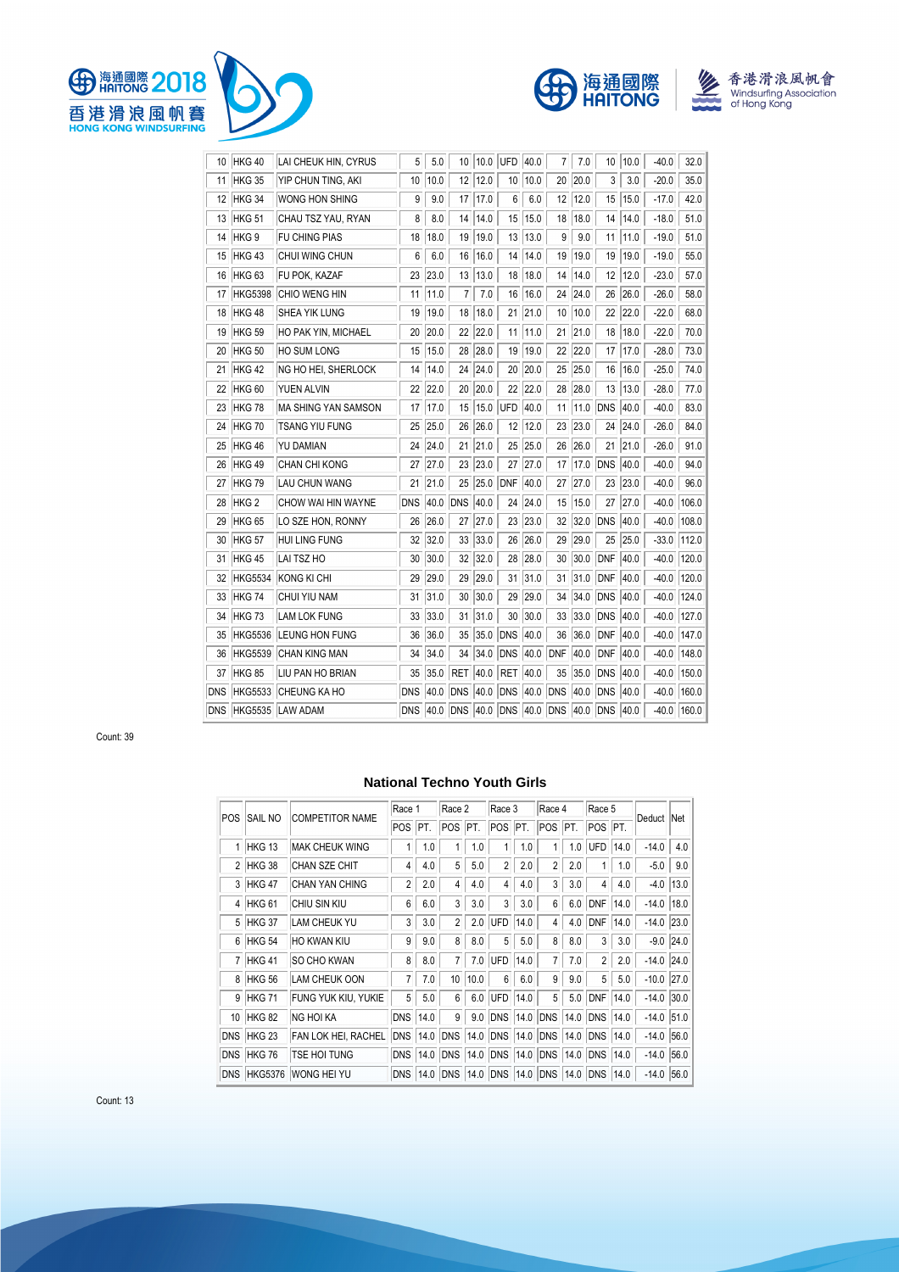





| 10         | HKG 40            | LAI CHEUK HIN, CYRUS       | 5          | 5.0  | 10         | 10.0 | UFD                        | 40.0 | 7   | 7.0  | 10         | 10.0 | $-40.0$ | 32.0  |
|------------|-------------------|----------------------------|------------|------|------------|------|----------------------------|------|-----|------|------------|------|---------|-------|
| 11         | HKG 35            | YIP CHUN TING, AKI         | 10         | 10.0 | 12         | 12.0 | 10                         | 10.0 | 20  | 20.0 | 3          | 3.0  | $-20.0$ | 35.0  |
| 12         | HKG 34            | <b>WONG HON SHING</b>      | 9          | 9.0  | 17         | 17.0 | 6                          | 6.0  | 12  | 12.0 | 15         | 15.0 | $-17.0$ | 42.0  |
| 13         | HKG <sub>51</sub> | CHAU TSZ YAU, RYAN         | 8          | 8.0  | 14         | 14.0 | 15                         | 15.0 | 18  | 18.0 | 14         | 14.0 | $-18.0$ | 51.0  |
| 14         | HKG <sub>9</sub>  | <b>FU CHING PIAS</b>       | 18         | 18.0 | 19         | 19.0 | 13                         | 13.0 | 9   | 9.0  | 11         | 11.0 | $-19.0$ | 51.0  |
| 15         | HKG43             | CHUI WING CHUN             | 6          | 6.0  | 16         | 16.0 | 14                         | 14.0 | 19  | 19.0 | 19         | 19.0 | $-19.0$ | 55.0  |
| 16         | HKG <sub>63</sub> | FU POK, KAZAF              | 23         | 23.0 | 13         | 13.0 | 18                         | 18.0 | 14  | 14.0 | 12         | 12.0 | $-23.0$ | 57.0  |
| 17         | <b>HKG5398</b>    | CHIO WENG HIN              | 11         | 11.0 | 7          | 7.0  | 16                         | 16.0 | 24  | 24.0 | 26         | 26.0 | $-26.0$ | 58.0  |
| 18         | HKG 48            | SHEA YIK LUNG              | 19         | 19.0 | 18         | 18.0 | 21                         | 21.0 | 10  | 10.0 | 22         | 22.0 | $-22.0$ | 68.0  |
| 19         | HKG 59            | <b>HO PAK YIN, MICHAEL</b> | 20         | 20.0 | 22         | 22.0 | 11                         | 11.0 | 21  | 21.0 | 18         | 18.0 | $-22.0$ | 70.0  |
| 20         | <b>HKG 50</b>     | <b>HO SUM LONG</b>         | 15         | 15.0 | 28         | 28.0 | 19                         | 19.0 | 22  | 22.0 | 17         | 17.0 | $-28.0$ | 73.0  |
| 21         | HKG 42            | NG HO HEI, SHERLOCK        | 14         | 14.0 | 24         | 24.0 | 20                         | 20.0 | 25  | 25.0 | 16         | 16.0 | $-25.0$ | 74.0  |
| 22         | <b>HKG 60</b>     | YUEN ALVIN                 | 22         | 22.0 | 20         | 20.0 | 22                         | 22.0 | 28  | 28.0 | 13         | 13.0 | $-28.0$ | 77.0  |
| 23         | HKG 78            | MA SHING YAN SAMSON        | 17         | 17.0 | 15         | 15.0 | <b>UFD</b>                 | 40.0 | 11  | 11.0 | <b>DNS</b> | 40.0 | $-40.0$ | 83.0  |
| 24         | <b>HKG 70</b>     | <b>TSANG YIU FUNG</b>      | 25         | 25.0 | 26         | 26.0 | 12                         | 12.0 | 23  | 23.0 | 24         | 24.0 | $-26.0$ | 84.0  |
| 25         | HKG 46            | YU DAMIAN                  | 24         | 24.0 | 21         | 21.0 | 25                         | 25.0 | 26  | 26.0 | 21         | 21.0 | $-26.0$ | 91.0  |
| 26         | HKG 49            | CHAN CHI KONG              | 27         | 27.0 | 23         | 23.0 | 27                         | 27.0 | 17  | 17.0 | <b>DNS</b> | 40.0 | $-40.0$ | 94.0  |
| 27         | HKG 79            | <b>LAU CHUN WANG</b>       | 21         | 21.0 | 25         | 25.0 | <b>DNF</b>                 | 40.0 | 27  | 27.0 | 23         | 23.0 | $-40.0$ | 96.0  |
| 28         | HKG <sub>2</sub>  | CHOW WAI HIN WAYNE         | <b>DNS</b> | 40.0 | <b>DNS</b> | 40.0 | 24                         | 24.0 | 15  | 15.0 | 27         | 27.0 | $-40.0$ | 106.0 |
| 29         | HKG <sub>65</sub> | LO SZE HON, RONNY          | 26         | 26.0 | 27         | 27.0 | 23                         | 23.0 | 32  | 32.0 | <b>DNS</b> | 40.0 | $-40.0$ | 108.0 |
| 30         | HKG <sub>57</sub> | <b>HUI LING FUNG</b>       | 32         | 32.0 | 33         | 33.0 | 26                         | 26.0 | 29  | 29.0 | 25         | 25.0 | $-33.0$ | 112.0 |
| 31         | HKG <sub>45</sub> | LAI TSZ HO                 | 30         | 30.0 | 32         | 32.0 | 28                         | 28.0 | 30  | 30.0 | <b>DNF</b> | 40.0 | $-40.0$ | 120.0 |
| 32         | HKG5534           | KONG KI CHI                | 29         | 29.0 | 29         | 29.0 | 31                         | 31.0 | 31  | 31.0 | <b>DNF</b> | 40.0 | $-40.0$ | 120.0 |
| 33         | HKG 74            | CHUI YIU NAM               | 31         | 31.0 | 30         | 30.0 | 29                         | 29.0 | 34  | 34.0 | <b>DNS</b> | 40.0 | $-40.0$ | 124.0 |
| 34         | HKG 73            | <b>LAM LOK FUNG</b>        | 33         | 33.0 | 31         | 31.0 | 30                         | 30.0 | 33  | 33.0 | <b>DNS</b> | 40.0 | $-40.0$ | 127.0 |
| 35         | <b>HKG5536</b>    | LEUNG HON FUNG             | 36         | 36.0 | 35         | 35.0 | DNS                        | 40.0 | 36  | 36.0 | <b>DNF</b> | 40.0 | $-40.0$ | 147.0 |
| 36         | <b>HKG5539</b>    | <b>CHAN KING MAN</b>       | 34         | 34.0 | 34         | 34.0 | DNS                        | 40.0 | DNF | 40.0 | <b>DNF</b> | 40.0 | $-40.0$ | 148.0 |
| 37         | <b>HKG 85</b>     | LIU PAN HO BRIAN           | 35         | 35.0 | <b>RET</b> | 40.0 | <b>RET</b>                 | 40.0 | 35  | 35.0 | <b>DNS</b> | 40.0 | $-40.0$ | 150.0 |
| <b>DNS</b> | <b>HKG5533</b>    | <b>CHEUNG KA HO</b>        | <b>DNS</b> | 40.0 | <b>DNS</b> | 40.0 | DNS                        | 40.0 | DNS | 40.0 | <b>DNS</b> | 40.0 | $-40.0$ | 160.0 |
|            |                   | DNS HKG5535 LAW ADAM       | <b>DNS</b> | 40.0 |            |      | DNS 40.0 DNS 40.0 DNS 40.0 |      |     |      | <b>DNS</b> | 40.0 | $-40.0$ | 160.0 |

Count: 39

# **National Techno Youth Girls**

|                 |                   |                        | Race 1         |      | Race 2         |      | Race 3     |      | Race 4         |      | Race 5            |      |              |             |
|-----------------|-------------------|------------------------|----------------|------|----------------|------|------------|------|----------------|------|-------------------|------|--------------|-------------|
| POS             | SAIL NO           | <b>COMPETITOR NAME</b> | <b>POS</b>     | IPT. | <b>POS</b>     | IPT. | <b>POS</b> | PT.  | <b>POS</b>     | IPT. | POS PT.           |      | Deduct Net   |             |
| 1               | HKG 13            | <b>MAK CHEUK WING</b>  | 1              | 1.0  |                | 1.0  |            | 1.0  | 1 <sub>1</sub> | 1.0  | <b>UFD</b>        | 14.0 | $-14.0$      | 4.0         |
| $\overline{2}$  | HKG 38            | CHAN SZE CHIT          | 4              | 4.0  | 5              | 5.0  | 2          | 2.0  | $\overline{2}$ | 2.0  |                   | 1.0  | $-5.0$       | 9.0         |
| 3               | HKG 47            | CHAN YAN CHING         | $\overline{2}$ | 2.0  | 4              | 4.0  | 4          | 4.0  | 3              | 3.0  | 4                 | 4.0  |              | $-4.0$ 13.0 |
| $\overline{4}$  | HKG <sub>61</sub> | CHIU SIN KIU           | 6              | 6.0  | 3              | 3.0  | 3          | 3.0  | 6              | 6.0  | <b>DNF</b>        | 14.0 | $-14.0$ 18.0 |             |
|                 | 5 HKG 37          | <b>LAM CHEUK YU</b>    | 3              | 3.0  | $\overline{2}$ | 2.0  | <b>UFD</b> | 14.0 | 4              | 4.0  | <b>DNF</b>        | 14.0 | $-14.0$ 23.0 |             |
| 6               | HKG 54            | <b>HO KWAN KIU</b>     | 9              | 9.0  | 8              | 8.0  | 5          | 5.0  | 8              | 8.0  | 3                 | 3.0  |              | $-9.0$ 24.0 |
| $\overline{7}$  | HKG <sub>41</sub> | <b>SO CHO KWAN</b>     | 8              | 8.0  |                | 7.0  | <b>UFD</b> | 14.0 | $\overline{7}$ | 7.0  | $\overline{2}$    | 2.0  | $-14.0$ 24.0 |             |
| 8               | HKG 56            | <b>LAM CHEUK OON</b>   | 7              | 7.0  | 10             | 10.0 | 6          | 6.0  | 9              | 9.0  | 5                 | 5.0  | $-10.0$ 27.0 |             |
| 9               | HKG 71            | FUNG YUK KIU, YUKIE    | 5              | 5.0  | 6              | 6.0  | UFD        | 14.0 | 5              | 5.0  | <b>DNF</b>        | 14.0 | $-14.0$ 30.0 |             |
| 10 <sup>°</sup> | HKG 82            | NG HOI KA              | <b>DNS</b>     | 14.0 | 9              | 9.0  | <b>DNS</b> | 14.0 | <b>DNS</b>     | 14.0 | <b>DNS</b>        | 14.0 | $-14.0$ 51.0 |             |
| <b>DNS</b>      | <b>HKG 23</b>     | FAN LOK HEI, RACHEL    | <b>DNS</b>     | 14.0 | <b>DNS</b>     | 14.0 | <b>DNS</b> | 14.0 | <b>DNS</b>     | 14.0 | <b>DNS</b>        | 14.0 | $-14.0$ 56.0 |             |
| <b>DNS</b>      | HKG 76            | <b>TSE HOI TUNG</b>    | <b>DNS</b>     | 14.0 | <b>DNS</b>     | 14.0 | <b>DNS</b> | 14.0 | <b>DNS</b>     | 14.0 | DNS 14.0          |      | $-14.0$ 56.0 |             |
|                 | DNS HKG5376       | <b>WONG HEI YU</b>     | <b>DNS</b>     | 14.0 | DNS            | 14.0 | <b>DNS</b> | 14.0 |                |      | DNS 14.0 DNS 14.0 |      | $-14.0$ 56.0 |             |

Count: 13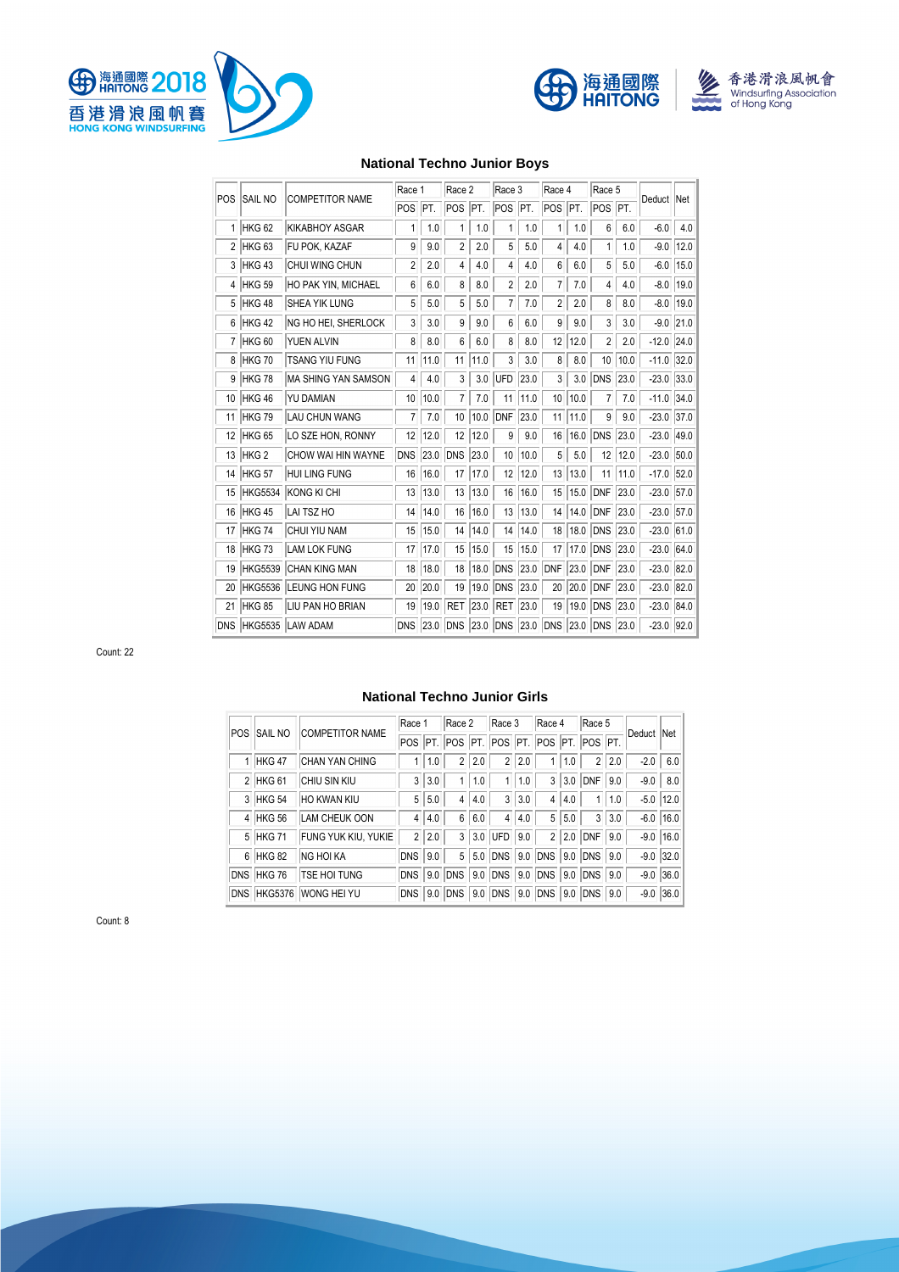







# **National Techno Junior Boys**

| POS        | <b>SAIL NO</b>    | <b>COMPETITOR NAME</b> | Race 1     |      | Race 2     |      | Race 3     |      | Race 4 |      | Race 5               |      |              |      |
|------------|-------------------|------------------------|------------|------|------------|------|------------|------|--------|------|----------------------|------|--------------|------|
|            |                   |                        | POS        | IPT. | POS        | IPT. | POS        | PT.  | POS    | IPT. | POS <sup>I</sup> PT. |      | Deduct Net   |      |
| 1          | HKG <sub>62</sub> | <b>KIKABHOY ASGAR</b>  | 1          | 1.0  | 1          | 1.0  | 1          | 1.0  | 1      | 1.0  | 6                    | 6.0  | $-6.0$       | 4.0  |
| 2          | HKG <sub>63</sub> | FU POK. KAZAF          | 9          | 9.0  | 2          | 2.0  | 5          | 5.0  | 4      | 4.0  | 1                    | 1.0  | $-9.0$       | 12.0 |
| 3          | HKG 43            | CHUI WING CHUN         | 2          | 2.0  | 4          | 4.0  | 4          | 4.0  | 6      | 6.0  | 5                    | 5.0  | $-6.0$       | 15.0 |
| 4          | HKG <sub>59</sub> | HO PAK YIN, MICHAEL    | 6          | 6.0  | 8          | 8.0  | 2          | 2.0  | 7      | 7.0  | 4                    | 4.0  | $-8.0$       | 19.0 |
| 5          | HKG 48            | SHEA YIK LUNG          | 5          | 5.0  | 5          | 5.0  | 7          | 7.0  | 2      | 2.0  | 8                    | 8.0  | $-8.0$       | 19.0 |
| 6          | HKG 42            | NG HO HEI, SHERLOCK    | 3          | 3.0  | 9          | 9.0  | 6          | 6.0  | 9      | 9.0  | 3                    | 3.0  | $-9.0$       | 21.0 |
| 7          | HKG <sub>60</sub> | YUEN ALVIN             | 8          | 8.0  | 6          | 6.0  | 8          | 8.0  | 12     | 12.0 | 2                    | 2.0  | $-12.0$      | 24.0 |
| 8          | HKG 70            | <b>TSANG YIU FUNG</b>  | 11         | 11.0 | 11         | 11.0 | 3          | 3.0  | 8      | 8.0  | 10                   | 10.0 | $-11.0$      | 32.0 |
| 9          | <b>HKG78</b>      | MA SHING YAN SAMSON    | 4          | 4.0  | 3          | 3.0  | UFD        | 23.0 | 3      | 3.0  | <b>DNS</b>           | 23.0 | $-23.0$      | 33.0 |
| 10         | HKG 46            | YU DAMIAN              | 10         | 10.0 | 7          | 7.0  | 11         | 11.0 | 10     | 10.0 | 7                    | 7.0  | $-11.0$      | 34.0 |
| 11         | <b>HKG79</b>      | <b>LAU CHUN WANG</b>   | 7          | 7.0  | 10         | 10.0 | <b>DNF</b> | 23.0 | 11     | 11.0 | 9                    | 9.0  | $-23.0$      | 37.0 |
| 12         | HKG <sub>65</sub> | LO SZE HON, RONNY      | 12         | 12.0 | 12         | 12.0 | 9          | 9.0  | 16     | 16.0 | <b>DNS</b>           | 23.0 | $-23.0$      | 49.0 |
| 13         | HKG <sub>2</sub>  | CHOW WAI HIN WAYNE     | <b>DNS</b> | 23.0 | <b>DNS</b> | 23.0 | 10         | 10.0 | 5      | 5.0  | 12                   | 12.0 | $-23.0$      | 50.0 |
| 14         | <b>HKG 57</b>     | <b>HUI LING FUNG</b>   | 16         | 16.0 | 17         | 17.0 | 12         | 12.0 | 13     | 13.0 | 11                   | 11.0 | $-17.0$      | 52.0 |
| 15         | <b>HKG5534</b>    | KONG KI CHI            | 13         | 13.0 | 13         | 13.0 | 16         | 16.0 | 15     | 15.0 | <b>DNF</b>           | 23.0 | $-23.0$      | 57.0 |
| 16         | <b>HKG 45</b>     | LAI TSZ HO             | 14         | 14.0 | 16         | 16.0 | 13         | 13.0 | 14     | 14.0 | <b>DNF</b>           | 23.0 | $-23.0$      | 57.0 |
| 17         | <b>HKG 74</b>     | CHUI YIU NAM           | 15         | 15.0 | 14         | 14.0 | 14         | 14.0 | 18     | 18.0 | <b>DNS</b>           | 23.0 | $-23.0$      | 61.0 |
| 18         | <b>HKG73</b>      | <b>LAM LOK FUNG</b>    | 17         | 17.0 | 15         | 15.0 | 15         | 15.0 | 17     | 17.0 | <b>DNS</b>           | 23.0 | $-23.0$      | 64.0 |
| 19         | <b>HKG5539</b>    | <b>CHAN KING MAN</b>   | 18         | 18.0 | 18         | 18.0 | <b>DNS</b> | 23.0 | DNF    | 23.0 | <b>DNF</b>           | 23.0 | $-23.0$      | 82.0 |
| 20         | <b>HKG5536</b>    | <b>LEUNG HON FUNG</b>  | 20         | 20.0 | 19         | 19.0 | <b>DNS</b> | 23.0 | 20     | 20.0 | <b>DNF</b>           | 23.0 | $-23.0$      | 82.0 |
| 21         | <b>HKG 85</b>     | LIU PAN HO BRIAN       | 19         | 19.0 | <b>RET</b> | 23.0 | <b>RET</b> | 23.0 | 19     | 19.0 | <b>DNS</b>           | 23.0 | $-23.0$      | 84.0 |
| <b>DNS</b> | <b>HKG5535</b>    | <b>LAW ADAM</b>        | <b>DNS</b> | 23.0 | <b>DNS</b> | 23.0 | <b>DNS</b> | 23.0 | DNS    | 23.0 | <b>DNS</b>           | 23.0 | $-23.0$ 92.0 |      |

Count: 22

# **National Techno Junior Girls**

| <b>POS</b> | <b>SAIL NO</b> | <b>COMPETITOR NAME</b> | Race 1         |       | Race 2          |     | Race 3         |     | Race 4     |     | Race 5         |     |        |               |
|------------|----------------|------------------------|----------------|-------|-----------------|-----|----------------|-----|------------|-----|----------------|-----|--------|---------------|
|            |                |                        |                |       | POS PT. POS PT. |     | POS PT. POS    |     |            |     | PT. POS PT.    |     | Deduct | <b>Net</b>    |
|            | 1 HKG 47       | <b>CHAN YAN CHING</b>  |                | 1.0   | $\overline{2}$  | 2.0 | $\overline{2}$ | 2.0 |            | 1.0 | $\overline{2}$ | 2.0 | $-2.0$ | 6.0           |
|            | 2 HKG 61       | CHIU SIN KIU           | 3              | 3.0   |                 | 1.0 | 1              | 1.0 | 3          | 3.0 | <b>DNF</b>     | 9.0 | $-9.0$ | 8.0           |
|            | 3 HKG 54       | HO KWAN KIU            | 5              | 5.0   | 4               | 4.0 | 3              | 3.0 | 4          | 4.0 |                | 1.0 |        | $-5.0$   12.0 |
|            | 4 HKG 56       | LAM CHEUK OON          |                | 4 4.0 | 6               | 6.0 | 4              | 4.0 | 5          | 5.0 | 3              | 3.0 |        | $-6.0$ 16.0   |
|            | 5 HKG 71       | FUNG YUK KIU, YUKIE    | $\overline{2}$ | 2.0   | 3               | 3.0 | <b>IUFD</b>    | 9.0 | 2          | 2.0 | <b>DNF</b>     | 9.0 |        | $-9.0$ 16.0   |
|            | 6 HKG 82       | <b>NG HOI KA</b>       | <b>DNS</b>     | 9.0   | 5               | 5.0 | DNS            | 9.0 | DNS        | 9.0 | <b>DNS 9.0</b> |     |        | $-9.0$ 32.0   |
|            | DNS HKG 76     | TSE HOI TUNG           | <b>DNS</b>     | 9.0   | <b>DNS</b>      | 9.0 | DNS            |     | 9.0 DNS    |     | 9.0 DNS 9.0    |     |        | $-9.0$ 36.0   |
| <b>DNS</b> | <b>HKG5376</b> | WONG HEI YU            | <b>DNS</b>     | 9.0   | <b>DNS</b>      | 9.0 | <b>DNS</b>     | 9.0 | <b>DNS</b> | 9.0 | <b>DNS</b>     | 9.0 |        | $-9.0$ 36.0   |

Count: 8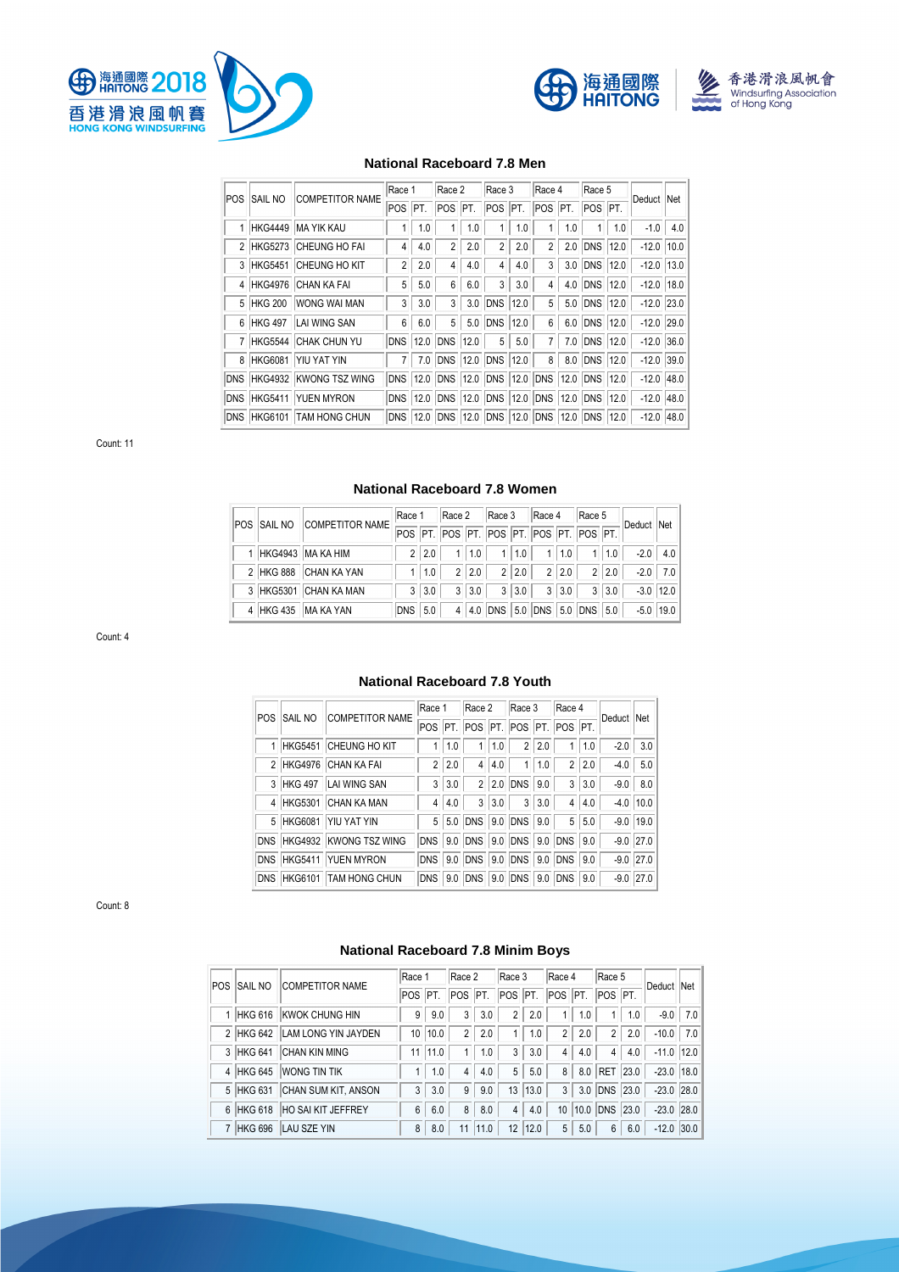





#### **National Raceboard 7.8 Men**

|            |                | <b>COMPETITOR NAME</b>     | Race 1         |      | Race 2          |     | Race 3                     |      | Race 4         |      | Race 5     |      |              |     |
|------------|----------------|----------------------------|----------------|------|-----------------|-----|----------------------------|------|----------------|------|------------|------|--------------|-----|
| <b>POS</b> | <b>SAIL NO</b> |                            | POS            | IPT. | <b>POS</b>      | PT. | <b>POS</b>                 | PT.  | POS PT.        |      | POS PT.    |      | Deduct Net   |     |
|            |                | 1 HKG4449 MA YIK KAU       |                | 1.0  |                 | 1.0 |                            | 1.0  |                | 1.0  |            | 1.0  | $-1.0$       | 4.0 |
|            |                | 2 HKG5273 CHEUNG HO FAI    | 4              | 4.0  | $\overline{2}$  | 2.0 | $\overline{2}$             | 2.0  | $\overline{2}$ | 2.0  | <b>DNS</b> | 12.0 | $-12.0$ 10.0 |     |
|            |                | 3 HKG5451 CHEUNG HO KIT    | $\overline{2}$ | 2.0  | 4               | 4.0 | $\overline{4}$             | 4.0  | 3              | 3.0  | DNS        | 12.0 | $-12.0$ 13.0 |     |
|            |                | 4 HKG4976 CHAN KA FAI      | 5              | 5.0  | 6               | 6.0 | 3                          | 3.0  | 4              | 4.0  | DNS        | 12.0 | $-12.0$ 18.0 |     |
|            |                | 5 HKG 200 WONG WAI MAN     | 3              | 3.0  | 3               | 3.0 | <b>DNS</b>                 | 12.0 | 5              | 5.0  | <b>DNS</b> | 12.0 | $-12.0$ 23.0 |     |
|            |                | 6 HKG 497 LAI WING SAN     | 6              | 6.0  | 5               | 5.0 | <b>DNS</b>                 | 12.0 | 6              | 6.0  | DNS        | 12.0 | $-12.0$ 29.0 |     |
|            |                | 7 HKG5544 CHAK CHUN YU     | <b>DNS</b>     | 12.0 | <b>DNS 12.0</b> |     | 5                          | 5.0  |                | 7.0  | <b>DNS</b> | 12.0 | $-12.0$ 36.0 |     |
|            |                | 8 HKG6081 YIU YAT YIN      | 7              | 7.0  | DNS 12.0        |     | DNS                        | 12.0 | 8              | 8.0  | <b>DNS</b> | 12.0 | $-12.0$ 39.0 |     |
|            |                | DNS HKG4932 KWONG TSZ WING | <b>DNS</b>     | 12.0 | DNS 12.0        |     | DNS                        |      | 12.0 DNS       | 12.0 | <b>DNS</b> | 12.0 | $-12.0$ 48.0 |     |
|            |                | DNS HKG5411 YUEN MYRON     | <b>DNS</b>     | 12.0 | DNS 12.0        |     | DNS 12.0 DNS 12.0 DNS 12.0 |      |                |      |            |      | $-12.0$ 48.0 |     |
|            |                | DNS HKG6101 TAM HONG CHUN  | <b>DNS</b>     |      | 12.0 DNS 12.0   |     | DNS 12.0 DNS 12.0 DNS 12.0 |      |                |      |            |      | $-12.0$ 48.0 |     |

Count: 11

#### **National Raceboard 7.8 Women**

| <b>POS SAIL NO</b> | <b>COMPETITOR NAME</b> | Race 1                                  |       | Race 2         |     | Race 3                      |       | Race 4         |       | Race 5 |       |             |               |
|--------------------|------------------------|-----------------------------------------|-------|----------------|-----|-----------------------------|-------|----------------|-------|--------|-------|-------------|---------------|
|                    |                        | POS PT. POS PT. POS PT. POS PT. POS PT. |       |                |     |                             |       |                |       |        |       | Deduct Net  |               |
|                    | 1 HKG4943 MA KA HIM    | $\mathcal{P}$                           | 20    |                | 1.0 |                             | 1 1.0 | 1 <sup>1</sup> | 1.0   |        | 1 1.0 |             | $-2.0$ 4.0    |
|                    | 2 HKG 888 CHAN KA YAN  |                                         | 1 1.0 | 2 <sup>1</sup> | 2.0 |                             | 2 2.0 |                | 2 2.0 |        | 2 2.0 |             | $-2.0$ 7.0    |
|                    | 3 HKG5301 CHAN KA MAN  |                                         | 3 3.0 | 3 <sup>1</sup> | 3.0 |                             |       | $3 3.0 $ 3     | 3.0   |        | 3 3.0 |             | $-3.0$   12.0 |
|                    | 4 HKG 435 MA KA YAN    | DNS 5.0                                 |       | $\overline{4}$ |     | 4.0 DNS 5.0 DNS 5.0 DNS 5.0 |       |                |       |        |       | $-5.0$ 19.0 |               |

Count: 4

#### POS SAIL NO COMPETITOR NAME Race 1 Race 2 Race 3 Race 4 Deduct Net POS PT. POS PT. POS PT. POS PT. 1 HKG5451 CHEUNG HO KIT 1 1.0 1 1.0 2 2.0 1 1.0 -2.0 3.0 2 HKG4976 CHAN KA FAI 2 2.0 4 4.0 1 1.0 2 2.0 -4.0 5.0

3 HKG 497 LAI WING SAN 3 3.0 2 2.0 DNS 9.0 3 3.0 -9.0 8.0 4 HKG5301 CHAN KA MAN 4 4.0 3 3.0 3 3.0 4 4.0 4.0 10.0 5 HKG6081 YIU YAT YIN 5 5.0 DNS 9.0 DNS 9.0 5 5.0 -9.0 19.0 DNS HKG4932 KWONG TSZ WING DNS 9.0 DNS 9.0 DNS 9.0 DNS 9.0 -9.0 27.0 DNS HKG5411 YUEN MYRON DNS 9.0 DNS 9.0 DNS 9.0 DNS 9.0 -9.0 27.0 DNS HKG6101 TAM HONG CHUN DNS 9.0 DNS 9.0 DNS 9.0 DNS 9.0 -9.0 27.0

**National Raceboard 7.8 Youth** 

Count: 8

#### **National Raceboard 7.8 Minim Boys**

|             |           |                           | Race 1          |             | Race 2         |      | Race 3         |      | Race 4          |     | Race 5         |     |               |            |
|-------------|-----------|---------------------------|-----------------|-------------|----------------|------|----------------|------|-----------------|-----|----------------|-----|---------------|------------|
| <b>IPOS</b> | isail no  | <b>COMPETITOR NAME</b>    | POS PT.         |             | POS PT.        |      | POS PT.        |      | POS PT. POS PT. |     |                |     | Deduct Net    |            |
|             | 1 HKG 616 | <b>KWOK CHUNG HIN</b>     | 9               | 9.0         | 3              | 3.0  | $\overline{2}$ | 2.0  |                 | 1.0 |                | 1.0 |               | $-9.0$ 7.0 |
|             | 2 HKG 642 | LAM LONG YIN JAYDEN       | 10 <sup>°</sup> | 10.0        | 2 <sub>1</sub> | 2.0  | 1.             | 1.0  | $\overline{2}$  | 2.0 | 2 <sup>1</sup> | 2.0 | $-10.0$   7.0 |            |
|             | 3 HKG 641 | <b>CHAN KIN MING</b>      |                 | $11$   11.0 |                | 1.0  | 3              | 3.0  | $\overline{4}$  | 4.0 | $\overline{4}$ | 4.0 | $-11.0$ 12.0  |            |
|             | 4 HKG 645 | <b>WONG TIN TIK</b>       |                 | 1.0         | 4              | 4.0  | 5              | 5.0  | 8               |     | 8.0 RET 23.0   |     | $-23.0$ 18.0  |            |
|             | 5 HKG 631 | CHAN SUM KIT, ANSON       | 3               | 3.0         | 9              | 9.0  | 13             | 13.0 | 3               |     | 3.0 DNS 23.0   |     | $-23.0$ 28.0  |            |
|             | 6 HKG 618 | <b>HO SAI KIT JEFFREY</b> | 6               | 6.0         | 8              | 8.0  | $\overline{4}$ | 4.0  | 10 <sup>1</sup> |     | 10.0 DNS 23.0  |     | $-23.0$ 28.0  |            |
|             | 7 HKG 696 | LAU SZE YIN               | 8               | 8.0         | 11             | 11.0 | 12             | 12.0 | $5\overline{)}$ | 5.0 | 6              | 6.0 | $-12.0$ 30.0  |            |